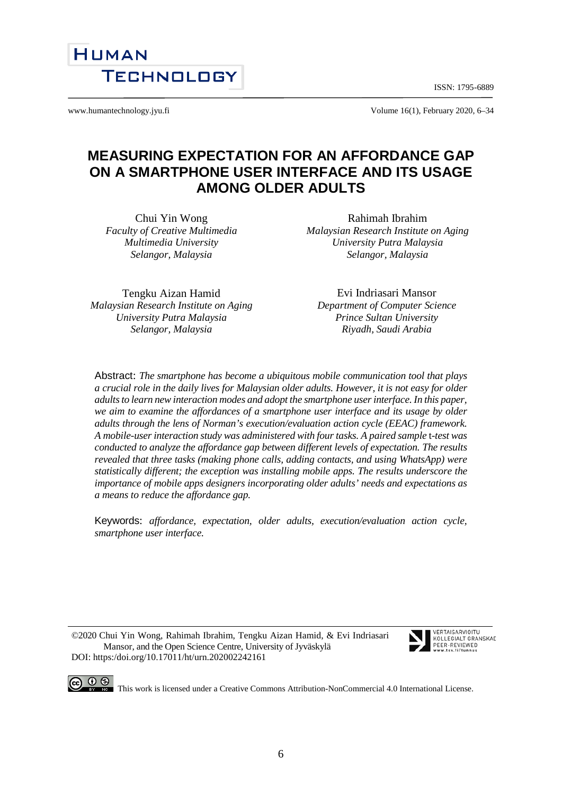ISSN: 1795-6889



www.humantechnology.jyu.fi <br>
Volume 16(1), February 2020, 6–34

# **MEASURING EXPECTATION FOR AN AFFORDANCE GAP ON A SMARTPHONE USER INTERFACE AND ITS USAGE AMONG OLDER ADULTS**

Chui Yin Wong *Faculty of Creative Multimedia Multimedia University Selangor, Malaysia*

Rahimah Ibrahim *Malaysian Research Institute on Aging University Putra Malaysia Selangor, Malaysia*

Tengku Aizan Hamid *Malaysian Research Institute on Aging University Putra Malaysia Selangor, Malaysia*

Evi Indriasari Mansor *Department of Computer Science Prince Sultan University Riyadh, Saudi Arabia*

Abstract: *The smartphone has become a ubiquitous mobile communication tool that plays a crucial role in the daily lives for Malaysian older adults. However, it is not easy for older adults to learn new interaction modes and adopt the smartphone user interface. In this paper, we aim to examine the affordances of a smartphone user interface and its usage by older adults through the lens of Norman's execution/evaluation action cycle (EEAC) framework. A mobile-user interaction study was administered with four tasks. A paired sample* t*-test was conducted to analyze the affordance gap between different levels of expectation. The results revealed that three tasks (making phone calls, adding contacts, and using WhatsApp) were statistically different; the exception was installing mobile apps. The results underscore the importance of mobile apps designers incorporating older adults' needs and expectations as a means to reduce the affordance gap.*

Keywords: *affordance, expectation, older adults, execution/evaluation action cycle, smartphone user interface.* 

©2020 Chui Yin Wong, Rahimah Ibrahim, Tengku Aizan Hamid, & Evi Indriasari Mansor, and the Open Science Centre, University of Jyväskylä DOI: https:/doi.org/10.17011/ht/urn.202002242161





**CO**  $\bigcirc$   $\bigcirc$   $\bigcirc$  This work is licensed under [a Creative Commons Attribution-NonCommercial 4.0 International License.](http://creativecommons.org/licenses/by-nc/4.0/)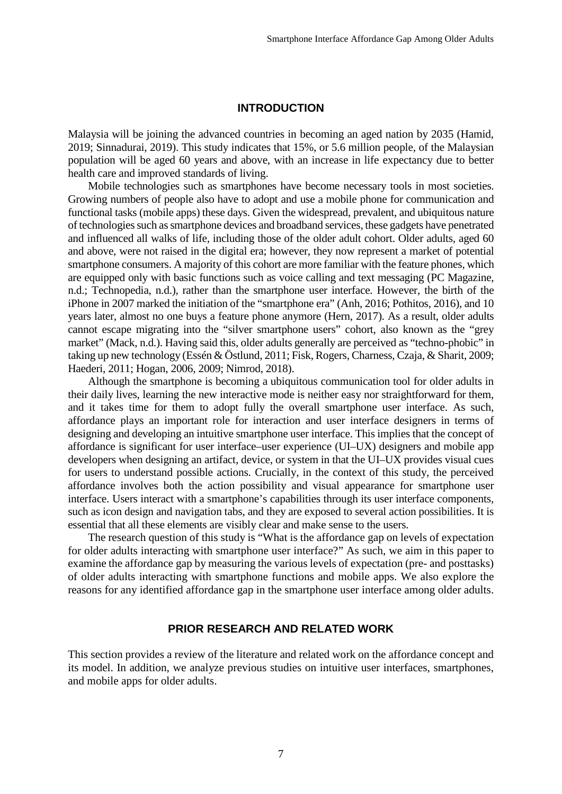#### **INTRODUCTION**

Malaysia will be joining the advanced countries in becoming an aged nation by 2035 (Hamid, 2019; Sinnadurai, 2019). This study indicates that 15%, or 5.6 million people, of the Malaysian population will be aged 60 years and above, with an increase in life expectancy due to better health care and improved standards of living.

Mobile technologies such as smartphones have become necessary tools in most societies. Growing numbers of people also have to adopt and use a mobile phone for communication and functional tasks (mobile apps) these days. Given the widespread, prevalent, and ubiquitous nature of technologies such as smartphone devices and broadband services, these gadgets have penetrated and influenced all walks of life, including those of the older adult cohort. Older adults, aged 60 and above, were not raised in the digital era; however, they now represent a market of potential smartphone consumers. A majority of this cohort are more familiar with the feature phones, which are equipped only with basic functions such as voice calling and text messaging (PC Magazine, n.d.; Technopedia, n.d.), rather than the smartphone user interface. However, the birth of the iPhone in 2007 marked the initiation of the "smartphone era" (Anh, 2016; Pothitos, 2016), and 10 years later, almost no one buys a feature phone anymore (Hern, 2017). As a result, older adults cannot escape migrating into the "silver smartphone users" cohort, also known as the "grey market" (Mack, n.d.). Having said this, older adults generally are perceived as "techno-phobic" in taking up new technology (Essén & Östlund, 2011; Fisk, Rogers, Charness, Czaja, & Sharit, 2009; Haederi, 2011; Hogan, 2006, 2009; Nimrod, 2018).

Although the smartphone is becoming a ubiquitous communication tool for older adults in their daily lives, learning the new interactive mode is neither easy nor straightforward for them, and it takes time for them to adopt fully the overall smartphone user interface. As such, affordance plays an important role for interaction and user interface designers in terms of designing and developing an intuitive smartphone user interface. This implies that the concept of affordance is significant for user interface–user experience (UI–UX) designers and mobile app developers when designing an artifact, device, or system in that the UI–UX provides visual cues for users to understand possible actions. Crucially, in the context of this study, the perceived affordance involves both the action possibility and visual appearance for smartphone user interface. Users interact with a smartphone's capabilities through its user interface components, such as icon design and navigation tabs, and they are exposed to several action possibilities. It is essential that all these elements are visibly clear and make sense to the users.

The research question of this study is "What is the affordance gap on levels of expectation for older adults interacting with smartphone user interface?" As such, we aim in this paper to examine the affordance gap by measuring the various levels of expectation (pre- and posttasks) of older adults interacting with smartphone functions and mobile apps. We also explore the reasons for any identified affordance gap in the smartphone user interface among older adults.

#### **PRIOR RESEARCH AND RELATED WORK**

This section provides a review of the literature and related work on the affordance concept and its model. In addition, we analyze previous studies on intuitive user interfaces, smartphones, and mobile apps for older adults.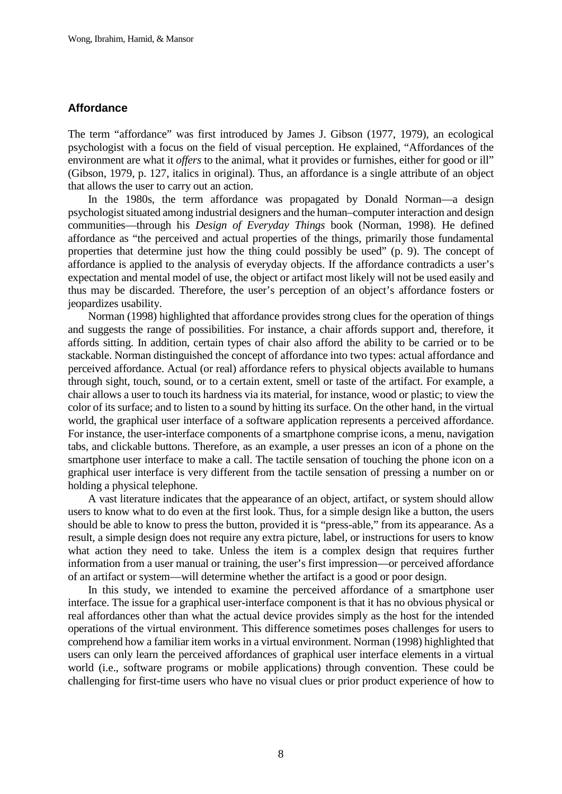### **Affordance**

The term "affordance" was first introduced by James J. Gibson (1977, 1979), an ecological psychologist with a focus on the field of visual perception. He explained, "Affordances of the environment are what it *offers* to the animal, what it provides or furnishes, either for good or ill" (Gibson, 1979, p. 127, italics in original). Thus, an affordance is a single attribute of an object that allows the user to carry out an action.

In the 1980s, the term affordance was propagated by Donald Norman—a design psychologist situated among industrial designers and the human–computer interaction and design communities—through his *Design of Everyday Things* book (Norman, 1998). He defined affordance as "the perceived and actual properties of the things, primarily those fundamental properties that determine just how the thing could possibly be used" (p. 9). The concept of affordance is applied to the analysis of everyday objects. If the affordance contradicts a user's expectation and mental model of use, the object or artifact most likely will not be used easily and thus may be discarded. Therefore, the user's perception of an object's affordance fosters or jeopardizes usability.

Norman (1998) highlighted that affordance provides strong clues for the operation of things and suggests the range of possibilities. For instance, a chair affords support and, therefore, it affords sitting. In addition, certain types of chair also afford the ability to be carried or to be stackable. Norman distinguished the concept of affordance into two types: actual affordance and perceived affordance. Actual (or real) affordance refers to physical objects available to humans through sight, touch, sound, or to a certain extent, smell or taste of the artifact. For example, a chair allows a user to touch its hardness via its material, for instance, wood or plastic; to view the color of its surface; and to listen to a sound by hitting its surface. On the other hand, in the virtual world, the graphical user interface of a software application represents a perceived affordance. For instance, the user-interface components of a smartphone comprise icons, a menu, navigation tabs, and clickable buttons. Therefore, as an example, a user presses an icon of a phone on the smartphone user interface to make a call. The tactile sensation of touching the phone icon on a graphical user interface is very different from the tactile sensation of pressing a number on or holding a physical telephone.

A vast literature indicates that the appearance of an object, artifact, or system should allow users to know what to do even at the first look. Thus, for a simple design like a button, the users should be able to know to press the button, provided it is "press-able," from its appearance. As a result, a simple design does not require any extra picture, label, or instructions for users to know what action they need to take. Unless the item is a complex design that requires further information from a user manual or training, the user's first impression—or perceived affordance of an artifact or system—will determine whether the artifact is a good or poor design.

In this study, we intended to examine the perceived affordance of a smartphone user interface. The issue for a graphical user-interface component is that it has no obvious physical or real affordances other than what the actual device provides simply as the host for the intended operations of the virtual environment. This difference sometimes poses challenges for users to comprehend how a familiar item works in a virtual environment. Norman (1998) highlighted that users can only learn the perceived affordances of graphical user interface elements in a virtual world (i.e., software programs or mobile applications) through convention. These could be challenging for first-time users who have no visual clues or prior product experience of how to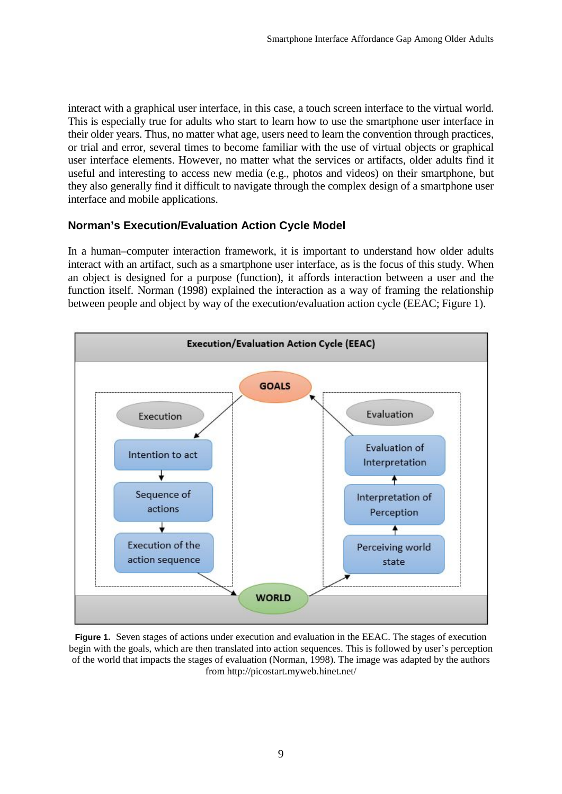interact with a graphical user interface, in this case, a touch screen interface to the virtual world. This is especially true for adults who start to learn how to use the smartphone user interface in their older years. Thus, no matter what age, users need to learn the convention through practices, or trial and error, several times to become familiar with the use of virtual objects or graphical user interface elements. However, no matter what the services or artifacts, older adults find it useful and interesting to access new media (e.g., photos and videos) on their smartphone, but they also generally find it difficult to navigate through the complex design of a smartphone user interface and mobile applications.

## **Norman's Execution/Evaluation Action Cycle Model**

In a human–computer interaction framework, it is important to understand how older adults interact with an artifact, such as a smartphone user interface, as is the focus of this study. When an object is designed for a purpose (function), it affords interaction between a user and the function itself. Norman (1998) explained the interaction as a way of framing the relationship between people and object by way of the execution/evaluation action cycle (EEAC; Figure 1).



**Figure 1.** Seven stages of actions under execution and evaluation in the EEAC. The stages of execution begin with the goals, which are then translated into action sequences. This is followed by user's perception of the world that impacts the stages of evaluation (Norman, 1998). The image was adapted by the authors from http://picostart.myweb.hinet.net/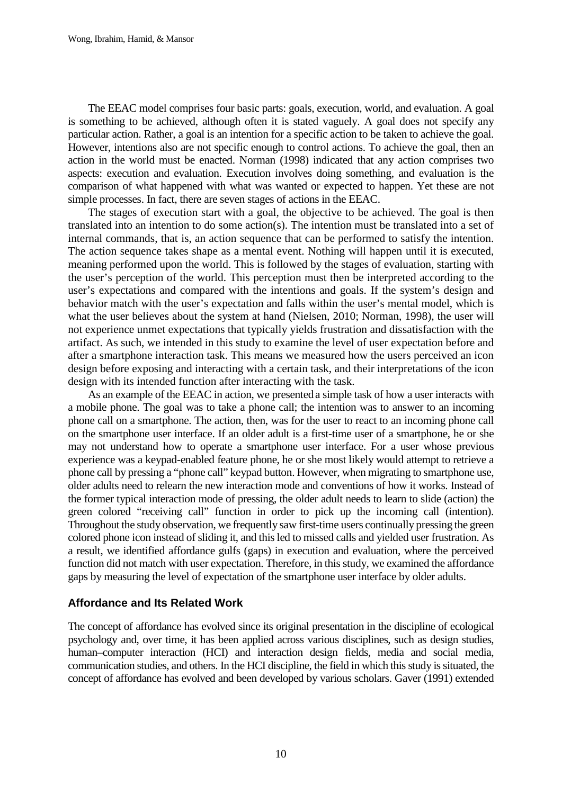The EEAC model comprises four basic parts: goals, execution, world, and evaluation. A goal is something to be achieved, although often it is stated vaguely. A goal does not specify any particular action. Rather, a goal is an intention for a specific action to be taken to achieve the goal. However, intentions also are not specific enough to control actions. To achieve the goal, then an action in the world must be enacted. Norman (1998) indicated that any action comprises two aspects: execution and evaluation. Execution involves doing something, and evaluation is the comparison of what happened with what was wanted or expected to happen. Yet these are not simple processes. In fact, there are seven stages of actions in the EEAC.

The stages of execution start with a goal, the objective to be achieved. The goal is then translated into an intention to do some action(s). The intention must be translated into a set of internal commands, that is, an action sequence that can be performed to satisfy the intention. The action sequence takes shape as a mental event. Nothing will happen until it is executed, meaning performed upon the world. This is followed by the stages of evaluation, starting with the user's perception of the world. This perception must then be interpreted according to the user's expectations and compared with the intentions and goals. If the system's design and behavior match with the user's expectation and falls within the user's mental model, which is what the user believes about the system at hand (Nielsen, 2010; Norman, 1998), the user will not experience unmet expectations that typically yields frustration and dissatisfaction with the artifact. As such, we intended in this study to examine the level of user expectation before and after a smartphone interaction task. This means we measured how the users perceived an icon design before exposing and interacting with a certain task, and their interpretations of the icon design with its intended function after interacting with the task.

As an example of the EEAC in action, we presented a simple task of how a user interacts with a mobile phone. The goal was to take a phone call; the intention was to answer to an incoming phone call on a smartphone. The action, then, was for the user to react to an incoming phone call on the smartphone user interface. If an older adult is a first-time user of a smartphone, he or she may not understand how to operate a smartphone user interface. For a user whose previous experience was a keypad-enabled feature phone, he or she most likely would attempt to retrieve a phone call by pressing a "phone call" keypad button. However, when migrating to smartphone use, older adults need to relearn the new interaction mode and conventions of how it works. Instead of the former typical interaction mode of pressing, the older adult needs to learn to slide (action) the green colored "receiving call" function in order to pick up the incoming call (intention). Throughout the study observation, we frequently saw first-time users continually pressing the green colored phone icon instead of sliding it, and this led to missed calls and yielded user frustration. As a result, we identified affordance gulfs (gaps) in execution and evaluation, where the perceived function did not match with user expectation. Therefore, in this study, we examined the affordance gaps by measuring the level of expectation of the smartphone user interface by older adults.

## **Affordance and Its Related Work**

The concept of affordance has evolved since its original presentation in the discipline of ecological psychology and, over time, it has been applied across various disciplines, such as design studies, human–computer interaction (HCI) and interaction design fields, media and social media, communication studies, and others. In the HCI discipline, the field in which this study is situated, the concept of affordance has evolved and been developed by various scholars. Gaver (1991) extended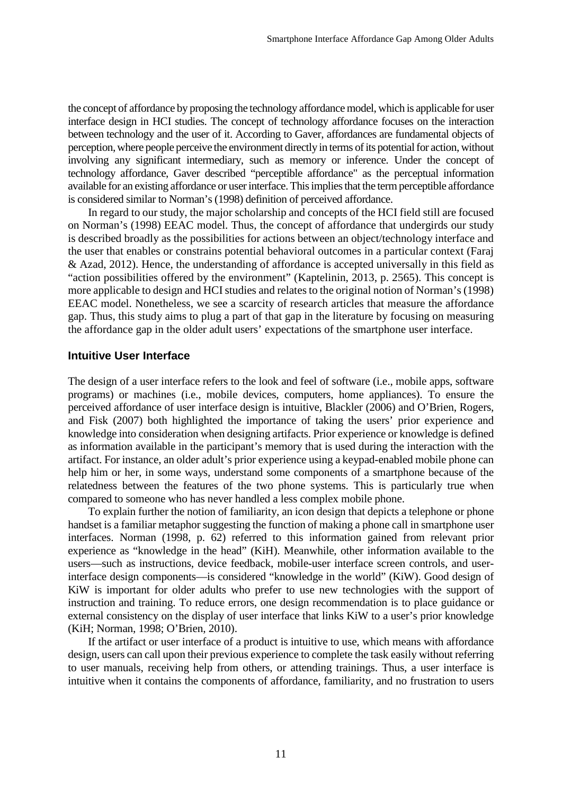the concept of affordance by proposing the technology affordance model, which is applicable for user interface design in HCI studies. The concept of technology affordance focuses on the interaction between technology and the user of it. According to Gaver, affordances are fundamental objects of perception, where people perceive the environment directly in terms of its potential for action, without involving any significant intermediary, such as memory or inference. Under the concept of technology affordance, Gaver described "perceptible affordance" as the perceptual information available for an existing affordance or user interface. This implies that the term perceptible affordance is considered similar to Norman's (1998) definition of perceived affordance.

In regard to our study, the major scholarship and concepts of the HCI field still are focused on Norman's (1998) EEAC model. Thus, the concept of affordance that undergirds our study is described broadly as the possibilities for actions between an object/technology interface and the user that enables or constrains potential behavioral outcomes in a particular context (Faraj & Azad, 2012). Hence, the understanding of affordance is accepted universally in this field as "action possibilities offered by the environment" (Kaptelinin, 2013, p. 2565). This concept is more applicable to design and HCI studies and relates to the original notion of Norman's (1998) EEAC model. Nonetheless, we see a scarcity of research articles that measure the affordance gap. Thus, this study aims to plug a part of that gap in the literature by focusing on measuring the affordance gap in the older adult users' expectations of the smartphone user interface.

#### **Intuitive User Interface**

The design of a user interface refers to the look and feel of software (i.e., mobile apps, software programs) or machines (i.e., mobile devices, computers, home appliances). To ensure the perceived affordance of user interface design is intuitive, Blackler (2006) and O'Brien, Rogers, and Fisk (2007) both highlighted the importance of taking the users' prior experience and knowledge into consideration when designing artifacts. Prior experience or knowledge is defined as information available in the participant's memory that is used during the interaction with the artifact. For instance, an older adult's prior experience using a keypad-enabled mobile phone can help him or her, in some ways, understand some components of a smartphone because of the relatedness between the features of the two phone systems. This is particularly true when compared to someone who has never handled a less complex mobile phone.

To explain further the notion of familiarity, an icon design that depicts a telephone or phone handset is a familiar metaphor suggesting the function of making a phone call in smartphone user interfaces. Norman (1998, p. 62) referred to this information gained from relevant prior experience as "knowledge in the head" (KiH). Meanwhile, other information available to the users—such as instructions, device feedback, mobile-user interface screen controls, and userinterface design components—is considered "knowledge in the world" (KiW). Good design of KiW is important for older adults who prefer to use new technologies with the support of instruction and training. To reduce errors, one design recommendation is to place guidance or external consistency on the display of user interface that links KiW to a user's prior knowledge (KiH; Norman, 1998; O'Brien, 2010).

If the artifact or user interface of a product is intuitive to use, which means with affordance design, users can call upon their previous experience to complete the task easily without referring to user manuals, receiving help from others, or attending trainings. Thus, a user interface is intuitive when it contains the components of affordance, familiarity, and no frustration to users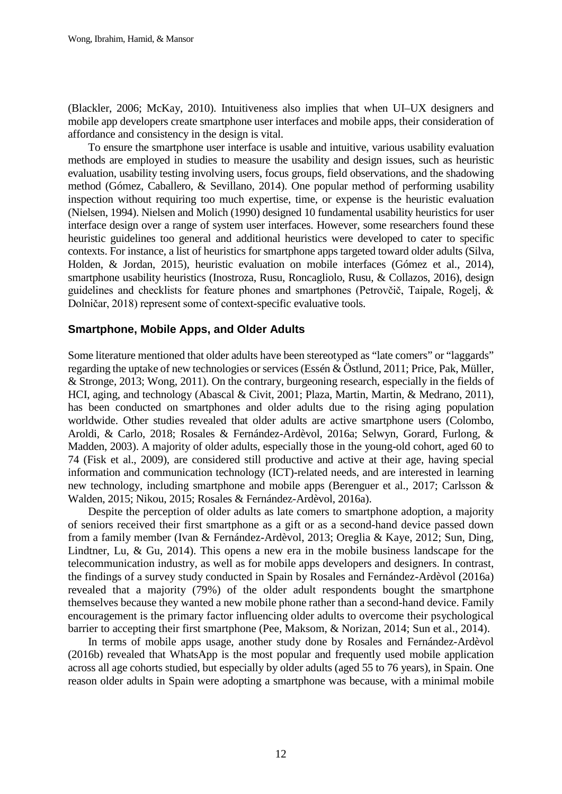(Blackler, 2006; McKay, 2010). Intuitiveness also implies that when UI–UX designers and mobile app developers create smartphone user interfaces and mobile apps, their consideration of affordance and consistency in the design is vital.

To ensure the smartphone user interface is usable and intuitive, various usability evaluation methods are employed in studies to measure the usability and design issues, such as heuristic evaluation, usability testing involving users, focus groups, field observations, and the shadowing method (Gómez, Caballero, & Sevillano, 2014). One popular method of performing usability inspection without requiring too much expertise, time, or expense is the heuristic evaluation (Nielsen, 1994). Nielsen and Molich (1990) designed 10 fundamental usability heuristics for user interface design over a range of system user interfaces. However, some researchers found these heuristic guidelines too general and additional heuristics were developed to cater to specific contexts. For instance, a list of heuristics for smartphone apps targeted toward older adults (Silva, Holden, & Jordan, 2015), heuristic evaluation on mobile interfaces (Gómez et al., 2014), smartphone usability heuristics (Inostroza, Rusu, Roncagliolo, Rusu, & Collazos, 2016), design guidelines and checklists for feature phones and smartphones (Petrovčič, Taipale, Rogelj, & Dolničar, 2018) represent some of context-specific evaluative tools.

## **Smartphone, Mobile Apps, and Older Adults**

Some literature mentioned that older adults have been stereotyped as "late comers" or "laggards" regarding the uptake of new technologies or services (Essén & Östlund, 2011; Price, Pak, Müller, & Stronge, 2013; Wong, 2011). On the contrary, burgeoning research, especially in the fields of HCI, aging, and technology (Abascal & Civit, 2001; Plaza, Martin, Martin, & Medrano, 2011), has been conducted on smartphones and older adults due to the rising aging population worldwide. Other studies revealed that older adults are active smartphone users (Colombo, Aroldi, & Carlo, 2018; Rosales & Fernández-Ardèvol, 2016a; Selwyn, Gorard, Furlong, & Madden, 2003). A majority of older adults, especially those in the young-old cohort, aged 60 to 74 (Fisk et al., 2009), are considered still productive and active at their age, having special information and communication technology (ICT)-related needs, and are interested in learning new technology, including smartphone and mobile apps (Berenguer et al., 2017; Carlsson & Walden, 2015; Nikou, 2015; Rosales & Fernández-Ardèvol, 2016a).

Despite the perception of older adults as late comers to smartphone adoption, a majority of seniors received their first smartphone as a gift or as a second-hand device passed down from a family member (Ivan & Fernández-Ardèvol, 2013; Oreglia & Kaye, 2012; Sun, Ding, Lindtner, Lu, & Gu, 2014). This opens a new era in the mobile business landscape for the telecommunication industry, as well as for mobile apps developers and designers. In contrast, the findings of a survey study conducted in Spain by Rosales and Fernández-Ardèvol (2016a) revealed that a majority (79%) of the older adult respondents bought the smartphone themselves because they wanted a new mobile phone rather than a second-hand device. Family encouragement is the primary factor influencing older adults to overcome their psychological barrier to accepting their first smartphone (Pee, Maksom, & Norizan, 2014; Sun et al., 2014).

In terms of mobile apps usage, another study done by Rosales and Fernández-Ardèvol (2016b) revealed that WhatsApp is the most popular and frequently used mobile application across all age cohorts studied, but especially by older adults (aged 55 to 76 years), in Spain. One reason older adults in Spain were adopting a smartphone was because, with a minimal mobile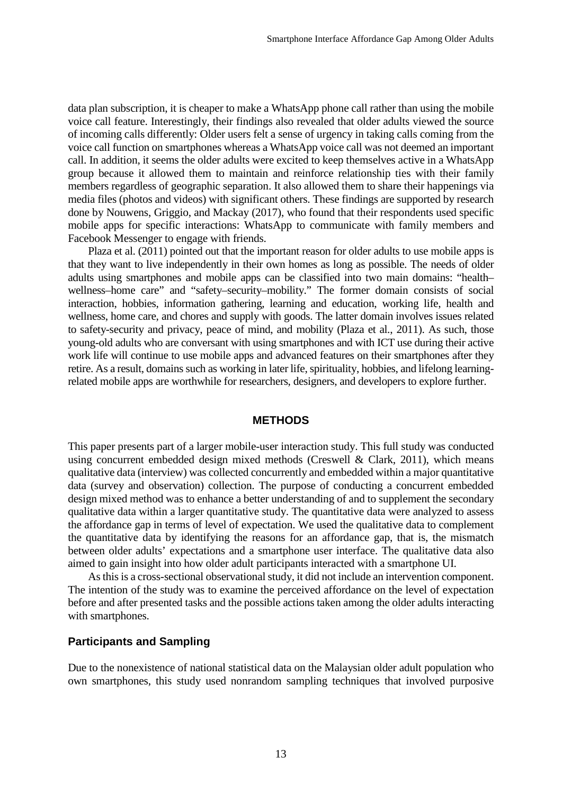data plan subscription, it is cheaper to make a WhatsApp phone call rather than using the mobile voice call feature. Interestingly, their findings also revealed that older adults viewed the source of incoming calls differently: Older users felt a sense of urgency in taking calls coming from the voice call function on smartphones whereas a WhatsApp voice call was not deemed an important call. In addition, it seems the older adults were excited to keep themselves active in a WhatsApp group because it allowed them to maintain and reinforce relationship ties with their family members regardless of geographic separation. It also allowed them to share their happenings via media files (photos and videos) with significant others. These findings are supported by research done by Nouwens, Griggio, and Mackay (2017), who found that their respondents used specific mobile apps for specific interactions: WhatsApp to communicate with family members and Facebook Messenger to engage with friends.

Plaza et al. (2011) pointed out that the important reason for older adults to use mobile apps is that they want to live independently in their own homes as long as possible. The needs of older adults using smartphones and mobile apps can be classified into two main domains: "health– wellness–home care" and "safety–security–mobility." The former domain consists of social interaction, hobbies, information gathering, learning and education, working life, health and wellness, home care, and chores and supply with goods. The latter domain involves issues related to safety-security and privacy, peace of mind, and mobility (Plaza et al., 2011). As such, those young-old adults who are conversant with using smartphones and with ICT use during their active work life will continue to use mobile apps and advanced features on their smartphones after they retire. As a result, domains such as working in later life, spirituality, hobbies, and lifelong learningrelated mobile apps are worthwhile for researchers, designers, and developers to explore further.

#### **METHODS**

This paper presents part of a larger mobile-user interaction study. This full study was conducted using concurrent embedded design mixed methods (Creswell & Clark, 2011), which means qualitative data (interview) was collected concurrently and embedded within a major quantitative data (survey and observation) collection. The purpose of conducting a concurrent embedded design mixed method was to enhance a better understanding of and to supplement the secondary qualitative data within a larger quantitative study. The quantitative data were analyzed to assess the affordance gap in terms of level of expectation. We used the qualitative data to complement the quantitative data by identifying the reasons for an affordance gap, that is, the mismatch between older adults' expectations and a smartphone user interface. The qualitative data also aimed to gain insight into how older adult participants interacted with a smartphone UI.

As this is a cross-sectional observational study, it did not include an intervention component. The intention of the study was to examine the perceived affordance on the level of expectation before and after presented tasks and the possible actions taken among the older adults interacting with smartphones.

#### **Participants and Sampling**

Due to the nonexistence of national statistical data on the Malaysian older adult population who own smartphones, this study used nonrandom sampling techniques that involved purposive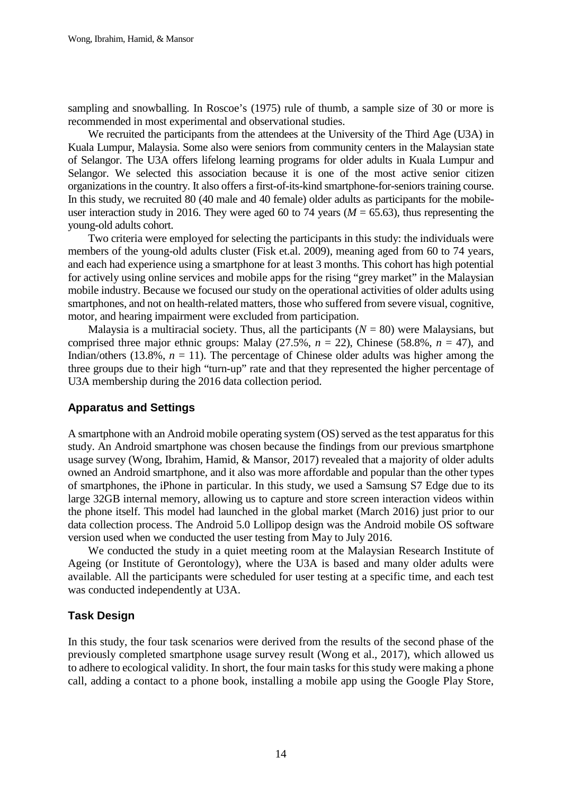sampling and snowballing. In Roscoe's (1975) rule of thumb, a sample size of 30 or more is recommended in most experimental and observational studies.

We recruited the participants from the attendees at the University of the Third Age (U3A) in Kuala Lumpur, Malaysia. Some also were seniors from community centers in the Malaysian state of Selangor. The U3A offers lifelong learning programs for older adults in Kuala Lumpur and Selangor. We selected this association because it is one of the most active senior citizen organizations in the country. It also offers a first-of-its-kind smartphone-for-seniors training course. In this study, we recruited 80 (40 male and 40 female) older adults as participants for the mobileuser interaction study in 2016. They were aged 60 to 74 years ( $M = 65.63$ ), thus representing the young-old adults cohort.

Two criteria were employed for selecting the participants in this study: the individuals were members of the young-old adults cluster (Fisk et.al. 2009), meaning aged from 60 to 74 years, and each had experience using a smartphone for at least 3 months. This cohort has high potential for actively using online services and mobile apps for the rising "grey market" in the Malaysian mobile industry. Because we focused our study on the operational activities of older adults using smartphones, and not on health-related matters, those who suffered from severe visual, cognitive, motor, and hearing impairment were excluded from participation.

Malaysia is a multiracial society. Thus, all the participants  $(N = 80)$  were Malaysians, but comprised three major ethnic groups: Malay  $(27.5\%, n = 22)$ , Chinese  $(58.8\%, n = 47)$ , and Indian/others (13.8%,  $n = 11$ ). The percentage of Chinese older adults was higher among the three groups due to their high "turn-up" rate and that they represented the higher percentage of U3A membership during the 2016 data collection period.

## **Apparatus and Settings**

A smartphone with an Android mobile operating system (OS) served as the test apparatus for this study. An Android smartphone was chosen because the findings from our previous smartphone usage survey (Wong, Ibrahim, Hamid, & Mansor, 2017) revealed that a majority of older adults owned an Android smartphone, and it also was more affordable and popular than the other types of smartphones, the iPhone in particular. In this study, we used a Samsung S7 Edge due to its large 32GB internal memory, allowing us to capture and store screen interaction videos within the phone itself. This model had launched in the global market (March 2016) just prior to our data collection process. The Android 5.0 Lollipop design was the Android mobile OS software version used when we conducted the user testing from May to July 2016.

We conducted the study in a quiet meeting room at the Malaysian Research Institute of Ageing (or Institute of Gerontology), where the U3A is based and many older adults were available. All the participants were scheduled for user testing at a specific time, and each test was conducted independently at U3A.

## **Task Design**

In this study, the four task scenarios were derived from the results of the second phase of the previously completed smartphone usage survey result (Wong et al., 2017), which allowed us to adhere to ecological validity. In short, the four main tasks for this study were making a phone call, adding a contact to a phone book, installing a mobile app using the Google Play Store,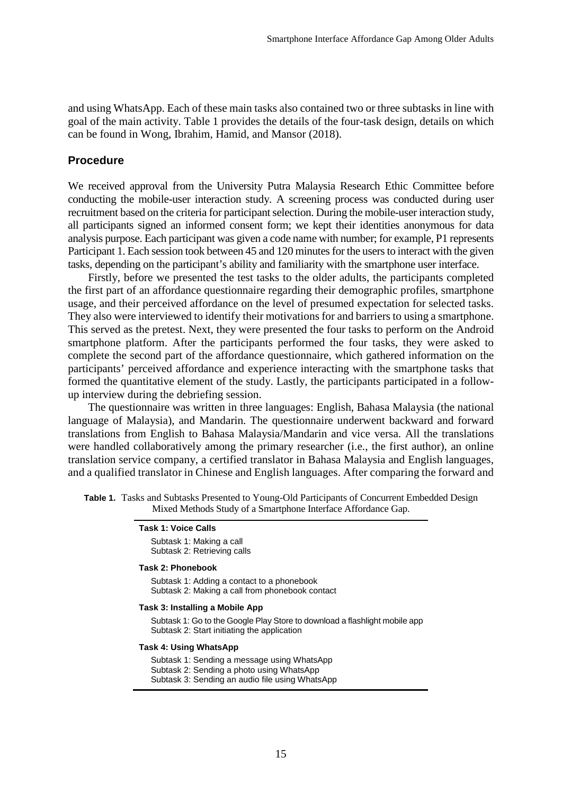and using WhatsApp. Each of these main tasks also contained two or three subtasks in line with goal of the main activity. Table 1 provides the details of the four-task design, details on which can be found in Wong, Ibrahim, Hamid, and Mansor (2018).

### **Procedure**

We received approval from the University Putra Malaysia Research Ethic Committee before conducting the mobile-user interaction study. A screening process was conducted during user recruitment based on the criteria for participant selection. During the mobile-user interaction study, all participants signed an informed consent form; we kept their identities anonymous for data analysis purpose. Each participant was given a code name with number; for example, P1 represents Participant 1. Each session took between 45 and 120 minutes for the users to interact with the given tasks, depending on the participant's ability and familiarity with the smartphone user interface.

Firstly, before we presented the test tasks to the older adults, the participants completed the first part of an affordance questionnaire regarding their demographic profiles, smartphone usage, and their perceived affordance on the level of presumed expectation for selected tasks. They also were interviewed to identify their motivations for and barriers to using a smartphone. This served as the pretest. Next, they were presented the four tasks to perform on the Android smartphone platform. After the participants performed the four tasks, they were asked to complete the second part of the affordance questionnaire, which gathered information on the participants' perceived affordance and experience interacting with the smartphone tasks that formed the quantitative element of the study. Lastly, the participants participated in a followup interview during the debriefing session.

The questionnaire was written in three languages: English, Bahasa Malaysia (the national language of Malaysia), and Mandarin. The questionnaire underwent backward and forward translations from English to Bahasa Malaysia/Mandarin and vice versa. All the translations were handled collaboratively among the primary researcher (i.e., the first author), an online translation service company, a certified translator in Bahasa Malaysia and English languages, and a qualified translator in Chinese and English languages. After comparing the forward and

| Table 1. Tasks and Subtasks Presented to Young-Old Participants of Concurrent Embedded Design |
|-----------------------------------------------------------------------------------------------|
| Mixed Methods Study of a Smartphone Interface Affordance Gap.                                 |

| Task 1: Voice Calls         |  |  |  |  |  |  |  |
|-----------------------------|--|--|--|--|--|--|--|
| Subtask 1: Making a call    |  |  |  |  |  |  |  |
| Subtask 2: Retrieving calls |  |  |  |  |  |  |  |

#### **Task 2: Phonebook**

 Subtask 1: Adding a contact to a phonebook Subtask 2: Making a call from phonebook contact

#### **Task 3: Installing a Mobile App**

 Subtask 1: Go to the Google Play Store to download a flashlight mobile app Subtask 2: Start initiating the application

#### **Task 4: Using WhatsApp**

 Subtask 1: Sending a message using WhatsApp Subtask 2: Sending a photo using WhatsApp Subtask 3: Sending an audio file using WhatsApp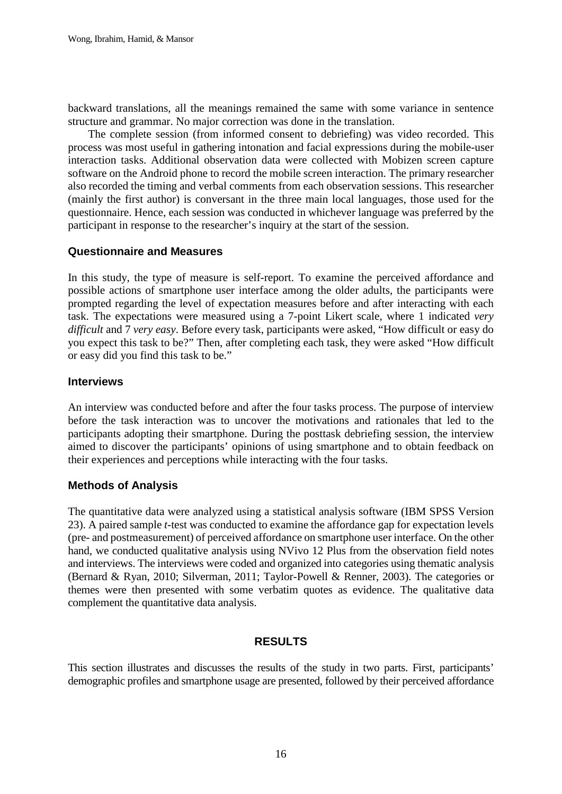backward translations, all the meanings remained the same with some variance in sentence structure and grammar. No major correction was done in the translation.

The complete session (from informed consent to debriefing) was video recorded. This process was most useful in gathering intonation and facial expressions during the mobile-user interaction tasks. Additional observation data were collected with Mobizen screen capture software on the Android phone to record the mobile screen interaction. The primary researcher also recorded the timing and verbal comments from each observation sessions. This researcher (mainly the first author) is conversant in the three main local languages, those used for the questionnaire. Hence, each session was conducted in whichever language was preferred by the participant in response to the researcher's inquiry at the start of the session.

## **Questionnaire and Measures**

In this study, the type of measure is self-report. To examine the perceived affordance and possible actions of smartphone user interface among the older adults, the participants were prompted regarding the level of expectation measures before and after interacting with each task. The expectations were measured using a 7-point Likert scale, where 1 indicated *very difficult* and 7 *very easy*. Before every task, participants were asked, "How difficult or easy do you expect this task to be?" Then, after completing each task, they were asked "How difficult or easy did you find this task to be."

## **Interviews**

An interview was conducted before and after the four tasks process. The purpose of interview before the task interaction was to uncover the motivations and rationales that led to the participants adopting their smartphone. During the posttask debriefing session, the interview aimed to discover the participants' opinions of using smartphone and to obtain feedback on their experiences and perceptions while interacting with the four tasks.

## **Methods of Analysis**

The quantitative data were analyzed using a statistical analysis software (IBM SPSS Version 23). A paired sample *t-*test was conducted to examine the affordance gap for expectation levels (pre- and postmeasurement) of perceived affordance on smartphone user interface. On the other hand, we conducted qualitative analysis using NVivo 12 Plus from the observation field notes and interviews. The interviews were coded and organized into categories using thematic analysis (Bernard & Ryan, 2010; Silverman, 2011; Taylor-Powell & Renner, 2003). The categories or themes were then presented with some verbatim quotes as evidence. The qualitative data complement the quantitative data analysis.

## **RESULTS**

This section illustrates and discusses the results of the study in two parts. First, participants' demographic profiles and smartphone usage are presented, followed by their perceived affordance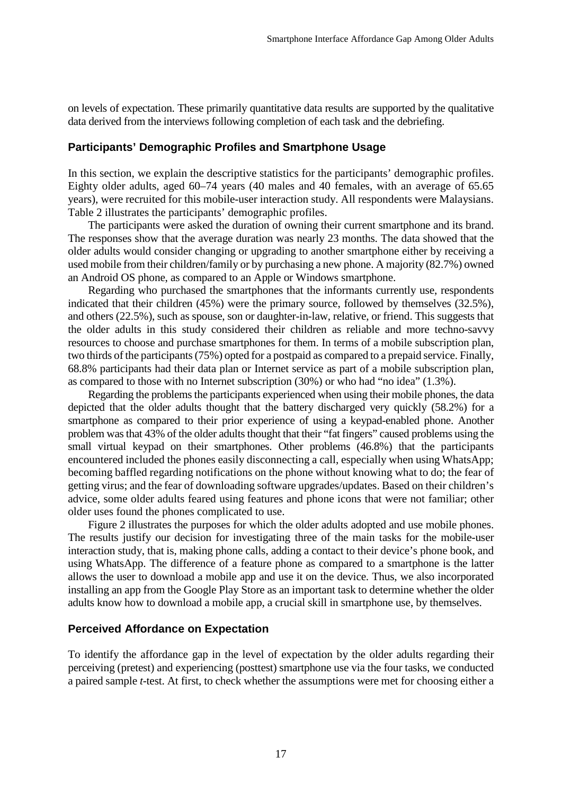on levels of expectation. These primarily quantitative data results are supported by the qualitative data derived from the interviews following completion of each task and the debriefing.

## **Participants' Demographic Profiles and Smartphone Usage**

In this section, we explain the descriptive statistics for the participants' demographic profiles. Eighty older adults, aged 60–74 years (40 males and 40 females, with an average of 65.65 years), were recruited for this mobile-user interaction study. All respondents were Malaysians. Table 2 illustrates the participants' demographic profiles.

The participants were asked the duration of owning their current smartphone and its brand. The responses show that the average duration was nearly 23 months. The data showed that the older adults would consider changing or upgrading to another smartphone either by receiving a used mobile from their children/family or by purchasing a new phone. A majority (82.7%) owned an Android OS phone, as compared to an Apple or Windows smartphone.

Regarding who purchased the smartphones that the informants currently use, respondents indicated that their children (45%) were the primary source, followed by themselves (32.5%), and others (22.5%), such as spouse, son or daughter-in-law, relative, or friend. This suggests that the older adults in this study considered their children as reliable and more techno-savvy resources to choose and purchase smartphones for them. In terms of a mobile subscription plan, two thirds of the participants (75%) opted for a postpaid as compared to a prepaid service. Finally, 68.8% participants had their data plan or Internet service as part of a mobile subscription plan, as compared to those with no Internet subscription (30%) or who had "no idea" (1.3%).

Regarding the problems the participants experienced when using their mobile phones, the data depicted that the older adults thought that the battery discharged very quickly (58.2%) for a smartphone as compared to their prior experience of using a keypad-enabled phone. Another problem was that 43% of the older adults thought that their "fat fingers" caused problems using the small virtual keypad on their smartphones. Other problems (46.8%) that the participants encountered included the phones easily disconnecting a call, especially when using WhatsApp; becoming baffled regarding notifications on the phone without knowing what to do; the fear of getting virus; and the fear of downloading software upgrades/updates. Based on their children's advice, some older adults feared using features and phone icons that were not familiar; other older uses found the phones complicated to use.

Figure 2 illustrates the purposes for which the older adults adopted and use mobile phones. The results justify our decision for investigating three of the main tasks for the mobile-user interaction study, that is, making phone calls, adding a contact to their device's phone book, and using WhatsApp. The difference of a feature phone as compared to a smartphone is the latter allows the user to download a mobile app and use it on the device. Thus, we also incorporated installing an app from the Google Play Store as an important task to determine whether the older adults know how to download a mobile app, a crucial skill in smartphone use, by themselves.

#### **Perceived Affordance on Expectation**

To identify the affordance gap in the level of expectation by the older adults regarding their perceiving (pretest) and experiencing (posttest) smartphone use via the four tasks, we conducted a paired sample *t*-test. At first, to check whether the assumptions were met for choosing either a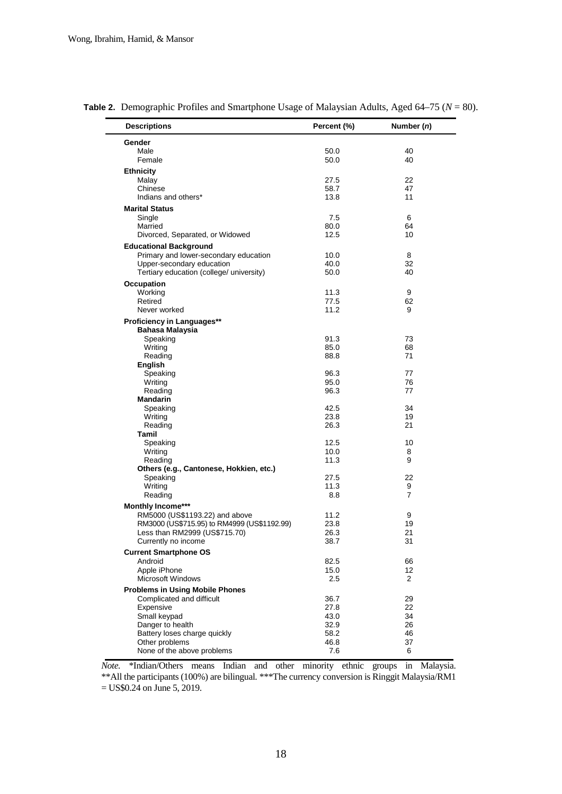| <b>Descriptions</b>                         | Percent (%) | Number (n)           |
|---------------------------------------------|-------------|----------------------|
| Gender                                      |             |                      |
| Male                                        | 50.0        | 40                   |
| Female                                      | 50.0        | 40                   |
| <b>Ethnicity</b>                            |             |                      |
| Malay                                       | 27.5        | 22                   |
| Chinese                                     | 58.7        | 47                   |
| Indians and others*                         | 13.8        | 11                   |
|                                             |             |                      |
| <b>Marital Status</b>                       |             |                      |
| Single                                      | 7.5         | 6                    |
| Married                                     | 80.0        | 64                   |
| Divorced, Separated, or Widowed             | 12.5        | 10                   |
| <b>Educational Background</b>               |             |                      |
| Primary and lower-secondary education       | 10.0        | 8                    |
| Upper-secondary education                   | 40.0        | 32                   |
| Tertiary education (college/ university)    | 50.0        | 40                   |
| Occupation                                  |             |                      |
| Working                                     | 11.3        | 9                    |
| Retired                                     | 77.5        | 62                   |
| Never worked                                | 11.2        | 9                    |
| Proficiency in Languages**                  |             |                      |
| Bahasa Malaysia                             |             |                      |
| Speaking                                    | 91.3        | 73                   |
| Writing                                     | 85.0        | 68                   |
| Reading                                     | 88.8        | 71                   |
| <b>English</b>                              |             |                      |
| Speaking                                    | 96.3        | 77                   |
| Writing                                     | 95.0        | 76                   |
| Reading                                     | 96.3        | 77                   |
| <b>Mandarin</b>                             |             |                      |
| Speaking                                    | 42.5        | 34                   |
| Writing                                     | 23.8        | 19                   |
| Reading                                     | 26.3        | 21                   |
| Tamil                                       |             |                      |
| Speaking                                    | 12.5        | 10                   |
| Writing                                     | 10.0        | 8                    |
| Reading                                     | 11.3        | 9                    |
| Others (e.g., Cantonese, Hokkien, etc.)     |             |                      |
| Speaking                                    | 27.5        | 22                   |
| Writing                                     | 11.3        | 9                    |
| Reading                                     | 8.8         | $\overline{7}$       |
| Monthly Income***                           |             |                      |
| RM5000 (US\$1193.22) and above              | 11.2        | 9                    |
| RM3000 (US\$715.95) to RM4999 (US\$1192.99) | 23.8        | 19                   |
| Less than RM2999 (US\$715.70)               | 26.3        | 21                   |
| Currently no income                         | 38.7        | 31                   |
|                                             |             |                      |
| <b>Current Smartphone OS</b>                |             |                      |
| Android<br>Apple iPhone                     | 82.5        | 66                   |
| <b>Microsoft Windows</b>                    | 15.0        | 12<br>$\overline{2}$ |
|                                             | 2.5         |                      |
| <b>Problems in Using Mobile Phones</b>      |             |                      |
| Complicated and difficult                   | 36.7        | 29                   |
| Expensive                                   | 27.8        | 22                   |
| Small keypad                                | 43.0        | 34                   |
| Danger to health                            | 32.9        | 26                   |
| Battery loses charge quickly                | 58.2        | 46                   |
| Other problems                              | 46.8        | 37                   |
| None of the above problems                  | 7.6         | 6                    |
|                                             |             |                      |

**Table 2.** Demographic Profiles and Smartphone Usage of Malaysian Adults, Aged 64–75 (*N* = 80).

*Note.* \*Indian/Others means Indian and other minority ethnic groups in Malaysia. \*\*All the participants (100%) are bilingual. \*\*\*The currency conversion is Ringgit Malaysia/RM1 = US\$0.24 on June 5, 2019.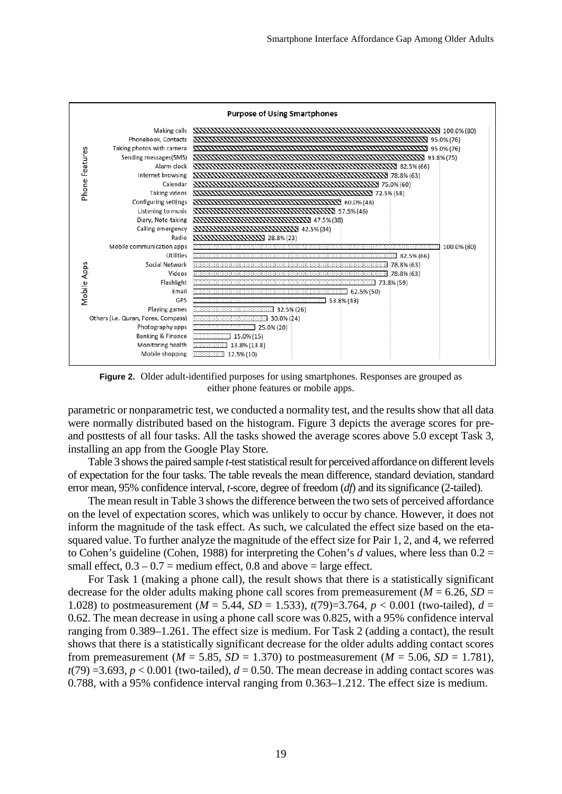

**Figure 2.** Older adult-identified purposes for using smartphones. Responses are grouped as either phone features or mobile apps.

parametric or nonparametric test, we conducted a normality test, and the results show that all data were normally distributed based on the histogram. Figure 3 depicts the average scores for preand posttests of all four tasks. All the tasks showed the average scores above 5.0 except Task 3, installing an app from the Google Play Store.

Table 3 shows the paired sample *t*-test statistical result for perceived affordance on different levels of expectation for the four tasks. The table reveals the mean difference, standard deviation, standard error mean, 95% confidence interval, *t*-score, degree of freedom (*df*) and its significance (2-tailed).

The mean result in Table 3 shows the difference between the two sets of perceived affordance on the level of expectation scores, which was unlikely to occur by chance. However, it does not inform the magnitude of the task effect. As such, we calculated the effect size based on the etasquared value. To further analyze the magnitude of the effect size for Pair 1, 2, and 4, we referred to Cohen's guideline (Cohen, 1988) for interpreting the Cohen's *d* values, where less than 0.2 = small effect,  $0.3 - 0.7$  = medium effect, 0.8 and above = large effect.

For Task 1 (making a phone call), the result shows that there is a statistically significant decrease for the older adults making phone call scores from premeasurement ( $M = 6.26$ ,  $SD =$ 1.028) to postmeasurement ( $M = 5.44$ ,  $SD = 1.533$ ),  $t(79)=3.764$ ,  $p < 0.001$  (two-tailed),  $d =$ 0.62. The mean decrease in using a phone call score was 0.825, with a 95% confidence interval ranging from 0.389–1.261. The effect size is medium. For Task 2 (adding a contact), the result shows that there is a statistically significant decrease for the older adults adding contact scores from premeasurement ( $M = 5.85$ ,  $SD = 1.370$ ) to postmeasurement ( $M = 5.06$ ,  $SD = 1.781$ ),  $t(79) = 3.693$ ,  $p < 0.001$  (two-tailed),  $d = 0.50$ . The mean decrease in adding contact scores was 0.788, with a 95% confidence interval ranging from 0.363–1.212. The effect size is medium.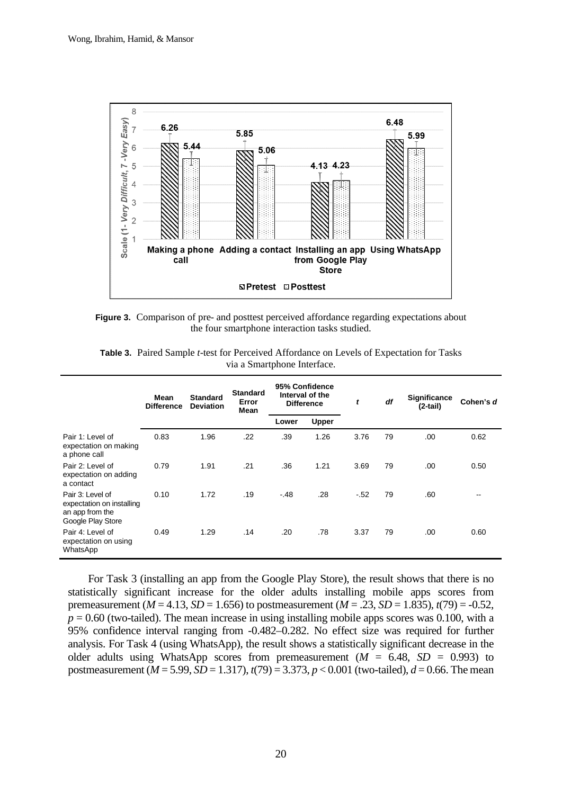

**Figure 3.** Comparison of pre- and posttest perceived affordance regarding expectations about the four smartphone interaction tasks studied.

|                                                                                       | Mean<br><b>Difference</b> | <b>Standard</b><br><b>Deviation</b> | <b>Standard</b><br>Error<br>Mean | 95% Confidence<br>Interval of the<br><b>Difference</b> |              | t      | df | Significance<br>$(2-tail)$ | Cohen's d |
|---------------------------------------------------------------------------------------|---------------------------|-------------------------------------|----------------------------------|--------------------------------------------------------|--------------|--------|----|----------------------------|-----------|
|                                                                                       |                           |                                     |                                  | Lower                                                  | <b>Upper</b> |        |    |                            |           |
| Pair 1: Level of<br>expectation on making<br>a phone call                             | 0.83                      | 1.96                                | .22                              | .39                                                    | 1.26         | 3.76   | 79 | .00                        | 0.62      |
| Pair 2: Level of<br>expectation on adding<br>a contact                                | 0.79                      | 1.91                                | .21                              | .36                                                    | 1.21         | 3.69   | 79 | .00                        | 0.50      |
| Pair 3: Level of<br>expectation on installing<br>an app from the<br>Google Play Store | 0.10                      | 1.72                                | .19                              | $-.48$                                                 | .28          | $-.52$ | 79 | .60                        | --        |
| Pair 4: Level of<br>expectation on using<br>WhatsApp                                  | 0.49                      | 1.29                                | .14                              | .20                                                    | .78          | 3.37   | 79 | .00                        | 0.60      |

**Table 3.** Paired Sample *t*-test for Perceived Affordance on Levels of Expectation for Tasks via a Smartphone Interface.

For Task 3 (installing an app from the Google Play Store), the result shows that there is no statistically significant increase for the older adults installing mobile apps scores from premeasurement ( $M = 4.13$ ,  $SD = 1.656$ ) to postmeasurement ( $M = .23$ ,  $SD = 1.835$ ),  $t(79) = -0.52$ ,  $p = 0.60$  (two-tailed). The mean increase in using installing mobile apps scores was 0.100, with a 95% confidence interval ranging from -0.482–0.282. No effect size was required for further analysis. For Task 4 (using WhatsApp), the result shows a statistically significant decrease in the older adults using WhatsApp scores from premeasurement  $(M = 6.48, SD = 0.993)$  to postmeasurement (*M* = 5.99, *SD* = 1.317), *t*(79) = 3.373, *p* < 0.001 (two-tailed), *d* = 0.66. The mean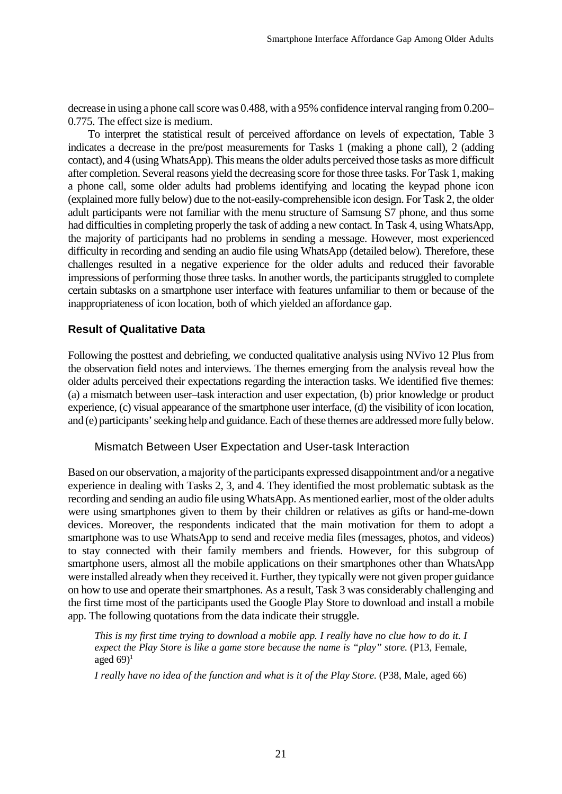decrease in using a phone call score was 0.488, with a 95% confidence interval ranging from 0.200– 0.775. The effect size is medium.

To interpret the statistical result of perceived affordance on levels of expectation, Table 3 indicates a decrease in the pre/post measurements for Tasks 1 (making a phone call), 2 (adding contact), and 4 (using WhatsApp). This means the older adults perceived those tasks as more difficult after completion. Several reasons yield the decreasing score for those three tasks. For Task 1, making a phone call, some older adults had problems identifying and locating the keypad phone icon (explained more fully below) due to the not-easily-comprehensible icon design. For Task 2, the older adult participants were not familiar with the menu structure of Samsung S7 phone, and thus some had difficulties in completing properly the task of adding a new contact. In Task 4, using WhatsApp, the majority of participants had no problems in sending a message. However, most experienced difficulty in recording and sending an audio file using WhatsApp (detailed below). Therefore, these challenges resulted in a negative experience for the older adults and reduced their favorable impressions of performing those three tasks. In another words, the participants struggled to complete certain subtasks on a smartphone user interface with features unfamiliar to them or because of the inappropriateness of icon location, both of which yielded an affordance gap.

## **Result of Qualitative Data**

Following the posttest and debriefing, we conducted qualitative analysis using NVivo 12 Plus from the observation field notes and interviews. The themes emerging from the analysis reveal how the older adults perceived their expectations regarding the interaction tasks. We identified five themes: (a) a mismatch between user–task interaction and user expectation, (b) prior knowledge or product experience, (c) visual appearance of the smartphone user interface, (d) the visibility of icon location, and (e) participants' seeking help and guidance. Each of these themes are addressed more fully below.

## Mismatch Between User Expectation and User-task Interaction

Based on our observation, a majority of the participants expressed disappointment and/or a negative experience in dealing with Tasks 2, 3, and 4. They identified the most problematic subtask as the recording and sending an audio file using WhatsApp. As mentioned earlier, most of the older adults were using smartphones given to them by their children or relatives as gifts or hand-me-down devices. Moreover, the respondents indicated that the main motivation for them to adopt a smartphone was to use WhatsApp to send and receive media files (messages, photos, and videos) to stay connected with their family members and friends. However, for this subgroup of smartphone users, almost all the mobile applications on their smartphones other than WhatsApp were installed already when they received it. Further, they typically were not given proper guidance on how to use and operate their smartphones. As a result, Task 3 was considerably challenging and the first time most of the participants used the Google Play Store to download and install a mobile app. The following quotations from the data indicate their struggle.

*This is my first time trying to download a mobile app. I really have no clue how to do it. I expect the Play Store is like a game store because the name is "play" store.* (P13, Female, aged  $69$ <sup>1</sup>

*I really have no idea of the function and what is it of the Play Store.* (P38, Male, aged 66)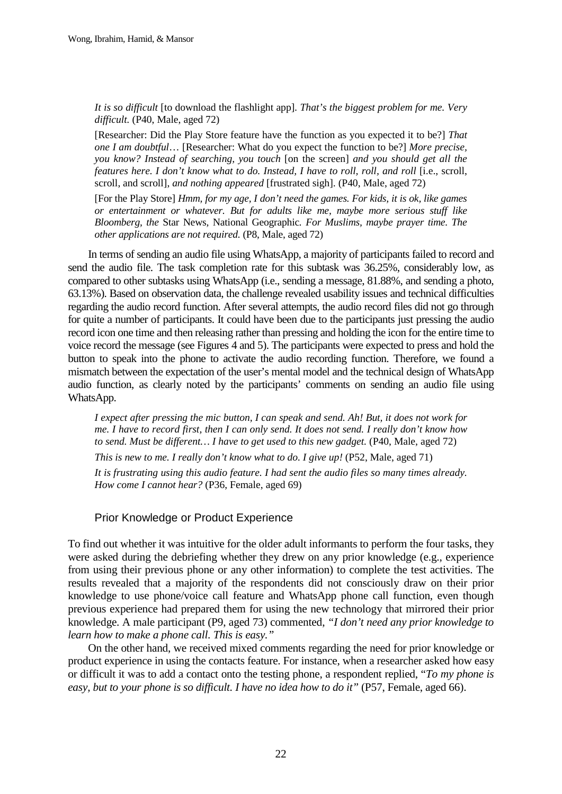*It is so difficult* [to download the flashlight app]*. That's the biggest problem for me. Very difficult.* (P40, Male, aged 72)

[Researcher: Did the Play Store feature have the function as you expected it to be?] *That one I am doubtful*… [Researcher: What do you expect the function to be?] *More precise, you know? Instead of searching, you touch* [on the screen] *and you should get all the features here. I don't know what to do. Instead, I have to roll, roll, and roll [i.e., scroll,* scroll, and scroll], *and nothing appeared* [frustrated sigh]. (P40, Male, aged 72)

[For the Play Store] *Hmm, for my age, I don't need the games. For kids, it is ok, like games or entertainment or whatever. But for adults like me, maybe more serious stuff like Bloomberg, the* Star News*,* National Geographic*. For Muslims, maybe prayer time. The other applications are not required.* (P8, Male, aged 72)

In terms of sending an audio file using WhatsApp, a majority of participants failed to record and send the audio file. The task completion rate for this subtask was 36.25%, considerably low, as compared to other subtasks using WhatsApp (i.e., sending a message, 81.88%, and sending a photo, 63.13%). Based on observation data, the challenge revealed usability issues and technical difficulties regarding the audio record function. After several attempts, the audio record files did not go through for quite a number of participants. It could have been due to the participants just pressing the audio record icon one time and then releasing rather than pressing and holding the icon for the entire time to voice record the message (see Figures 4 and 5). The participants were expected to press and hold the button to speak into the phone to activate the audio recording function. Therefore, we found a mismatch between the expectation of the user's mental model and the technical design of WhatsApp audio function, as clearly noted by the participants' comments on sending an audio file using WhatsApp.

*I expect after pressing the mic button, I can speak and send. Ah! But, it does not work for me. I have to record first, then I can only send. It does not send. I really don't know how to send. Must be different... I have to get used to this new gadget.* (P40, Male, aged 72)

*This is new to me. I really don't know what to do. I give up!* (P52, Male, aged 71)

*It is frustrating using this audio feature. I had sent the audio files so many times already. How come I cannot hear?* (P36, Female, aged 69)

## Prior Knowledge or Product Experience

To find out whether it was intuitive for the older adult informants to perform the four tasks, they were asked during the debriefing whether they drew on any prior knowledge (e.g., experience from using their previous phone or any other information) to complete the test activities. The results revealed that a majority of the respondents did not consciously draw on their prior knowledge to use phone/voice call feature and WhatsApp phone call function, even though previous experience had prepared them for using the new technology that mirrored their prior knowledge. A male participant (P9, aged 73) commented, *"I don't need any prior knowledge to learn how to make a phone call. This is easy."*

On the other hand, we received mixed comments regarding the need for prior knowledge or product experience in using the contacts feature. For instance, when a researcher asked how easy or difficult it was to add a contact onto the testing phone, a respondent replied, "*To my phone is easy, but to your phone is so difficult. I have no idea how to do it"* (P57, Female, aged 66).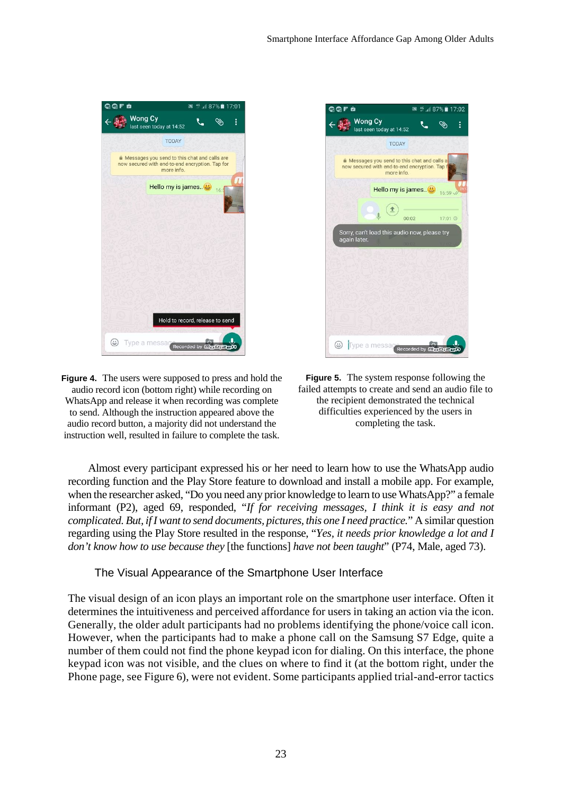

**Figure 4.** The users were supposed to press and hold the audio record icon (bottom right) while recording on WhatsApp and release it when recording was complete to send. Although the instruction appeared above the audio record button, a majority did not understand the instruction well, resulted in failure to complete the task.



**Figure 5.** The system response following the failed attempts to create and send an audio file to the recipient demonstrated the technical difficulties experienced by the users in completing the task.

Almost every participant expressed his or her need to learn how to use the WhatsApp audio recording function and the Play Store feature to download and install a mobile app. For example, when the researcher asked, "Do you need any prior knowledge to learn to use WhatsApp?" a female informant (P2), aged 69, responded, "*If for receiving messages, I think it is easy and not complicated. But, if I want to send documents, pictures, this one I need practice.*" A similar question regarding using the Play Store resulted in the response, "*Yes, it needs prior knowledge a lot and I don't know how to use because they* [the functions] *have not been taught*" (P74, Male, aged 73).

The Visual Appearance of the Smartphone User Interface

The visual design of an icon plays an important role on the smartphone user interface. Often it determines the intuitiveness and perceived affordance for users in taking an action via the icon. Generally, the older adult participants had no problems identifying the phone/voice call icon. However, when the participants had to make a phone call on the Samsung S7 Edge, quite a number of them could not find the phone keypad icon for dialing. On this interface, the phone keypad icon was not visible, and the clues on where to find it (at the bottom right, under the Phone page, see Figure 6), were not evident. Some participants applied trial-and-error tactics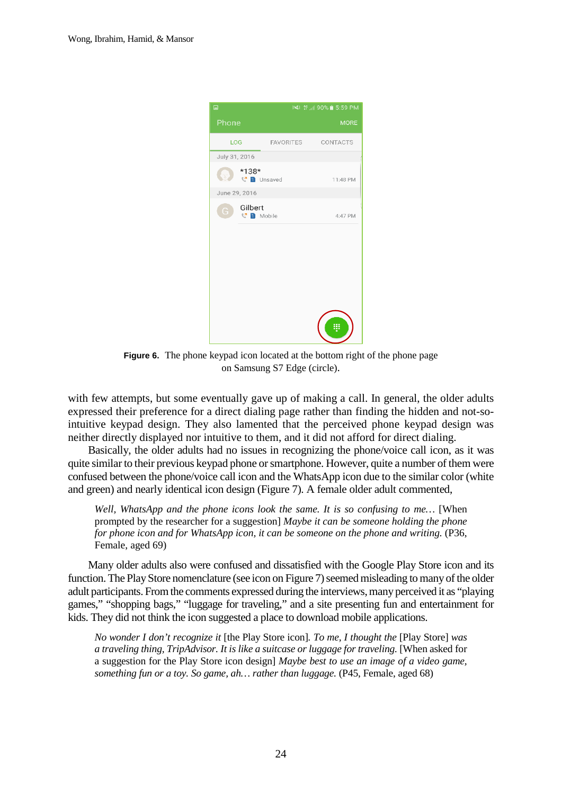

**Figure 6.** The phone keypad icon located at the bottom right of the phone page on Samsung S7 Edge (circle).

with few attempts, but some eventually gave up of making a call. In general, the older adults expressed their preference for a direct dialing page rather than finding the hidden and not-sointuitive keypad design. They also lamented that the perceived phone keypad design was neither directly displayed nor intuitive to them, and it did not afford for direct dialing.

Basically, the older adults had no issues in recognizing the phone/voice call icon, as it was quite similar to their previous keypad phone or smartphone. However, quite a number of them were confused between the phone/voice call icon and the WhatsApp icon due to the similar color (white and green) and nearly identical icon design (Figure 7). A female older adult commented,

*Well, WhatsApp and the phone icons look the same. It is so confusing to me…* [When prompted by the researcher for a suggestion] *Maybe it can be someone holding the phone for phone icon and for WhatsApp icon, it can be someone on the phone and writing.* (P36, Female, aged 69)

Many older adults also were confused and dissatisfied with the Google Play Store icon and its function. The Play Store nomenclature (see icon on Figure 7) seemed misleading to many of the older adult participants. From the comments expressed during the interviews, many perceived it as "playing games," "shopping bags," "luggage for traveling," and a site presenting fun and entertainment for kids. They did not think the icon suggested a place to download mobile applications.

*No wonder I don't recognize it* [the Play Store icon]*. To me, I thought the* [Play Store] *was a traveling thing, TripAdvisor. It is like a suitcase or luggage for traveling.* [When asked for a suggestion for the Play Store icon design] *Maybe best to use an image of a video game, something fun or a toy. So game, ah... rather than luggage.* (P45, Female, aged 68)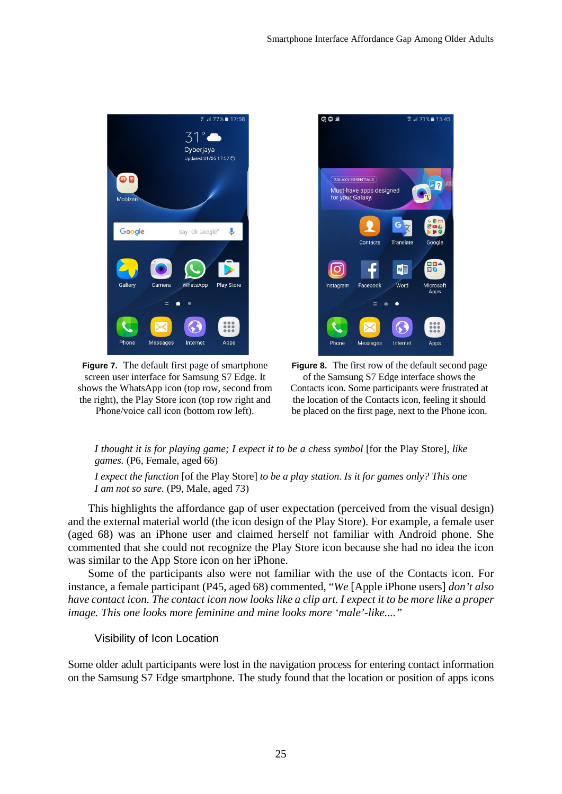

**Figure 7.** The default first page of smartphone screen user interface for Samsung S7 Edge. It shows the WhatsApp icon (top row, second from the right), the Play Store icon (top row right and Phone/voice call icon (bottom row left).



**Figure 8.** The first row of the default second page of the Samsung S7 Edge interface shows the Contacts icon. Some participants were frustrated at the location of the Contacts icon, feeling it should be placed on the first page, next to the Phone icon.

## *I thought it is for playing game; I expect it to be a chess symbol* [for the Play Store], *like games.* (P6, Female, aged 66)

*I expect the function* [of the Play Store] *to be a play station. Is it for games only? This one I am not so sure.* (P9, Male, aged 73)

This highlights the affordance gap of user expectation (perceived from the visual design) and the external material world (the icon design of the Play Store). For example, a female user (aged 68) was an iPhone user and claimed herself not familiar with Android phone. She commented that she could not recognize the Play Store icon because she had no idea the icon was similar to the App Store icon on her iPhone.

Some of the participants also were not familiar with the use of the Contacts icon. For instance, a female participant (P45, aged 68) commented, "*We* [Apple iPhone users] *don't also have contact icon. The contact icon now looks like a clip art. I expect it to be more like a proper image. This one looks more feminine and mine looks more 'male'-like...."* 

Visibility of Icon Location

Some older adult participants were lost in the navigation process for entering contact information on the Samsung S7 Edge smartphone. The study found that the location or position of apps icons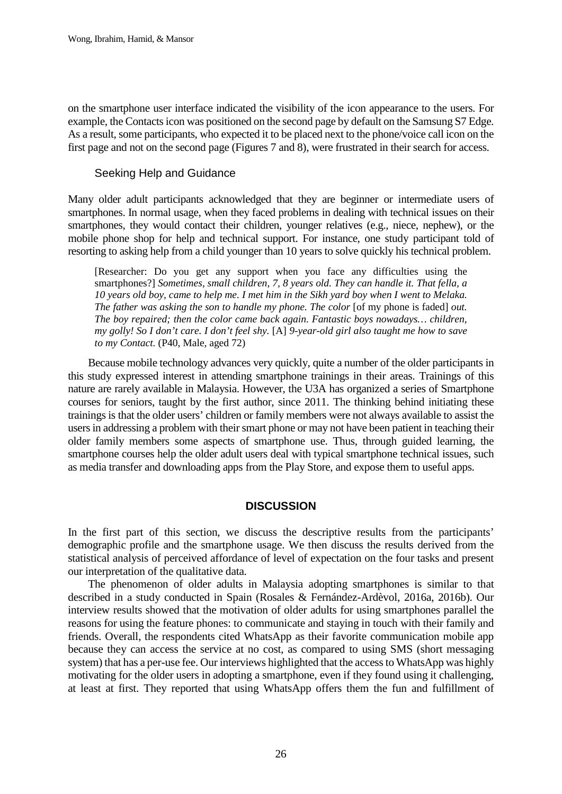on the smartphone user interface indicated the visibility of the icon appearance to the users. For example, the Contacts icon was positioned on the second page by default on the Samsung S7 Edge. As a result, some participants, who expected it to be placed next to the phone/voice call icon on the first page and not on the second page (Figures 7 and 8), were frustrated in their search for access.

## Seeking Help and Guidance

Many older adult participants acknowledged that they are beginner or intermediate users of smartphones. In normal usage, when they faced problems in dealing with technical issues on their smartphones, they would contact their children, younger relatives (e.g., niece, nephew), or the mobile phone shop for help and technical support. For instance, one study participant told of resorting to asking help from a child younger than 10 years to solve quickly his technical problem.

[Researcher: Do you get any support when you face any difficulties using the smartphones?] *Sometimes, small children, 7, 8 years old. They can handle it. That fella, a 10 years old boy, came to help me. I met him in the Sikh yard boy when I went to Melaka. The father was asking the son to handle my phone. The color* [of my phone is faded] *out. The boy repaired; then the color came back again. Fantastic boys nowadays… children, my golly! So I don't care. I don't feel shy.* [A] *9-year-old girl also taught me how to save to my Contact.* (P40, Male, aged 72)

Because mobile technology advances very quickly, quite a number of the older participants in this study expressed interest in attending smartphone trainings in their areas. Trainings of this nature are rarely available in Malaysia. However, the U3A has organized a series of Smartphone courses for seniors, taught by the first author, since 2011. The thinking behind initiating these trainings is that the older users' children or family members were not always available to assist the users in addressing a problem with their smart phone or may not have been patient in teaching their older family members some aspects of smartphone use. Thus, through guided learning, the smartphone courses help the older adult users deal with typical smartphone technical issues, such as media transfer and downloading apps from the Play Store, and expose them to useful apps.

## **DISCUSSION**

In the first part of this section, we discuss the descriptive results from the participants' demographic profile and the smartphone usage. We then discuss the results derived from the statistical analysis of perceived affordance of level of expectation on the four tasks and present our interpretation of the qualitative data.

The phenomenon of older adults in Malaysia adopting smartphones is similar to that described in a study conducted in Spain (Rosales & Fernández-Ardèvol, 2016a, 2016b). Our interview results showed that the motivation of older adults for using smartphones parallel the reasons for using the feature phones: to communicate and staying in touch with their family and friends. Overall, the respondents cited WhatsApp as their favorite communication mobile app because they can access the service at no cost, as compared to using SMS (short messaging system) that has a per-use fee. Our interviews highlighted that the access to WhatsApp was highly motivating for the older users in adopting a smartphone, even if they found using it challenging, at least at first. They reported that using WhatsApp offers them the fun and fulfillment of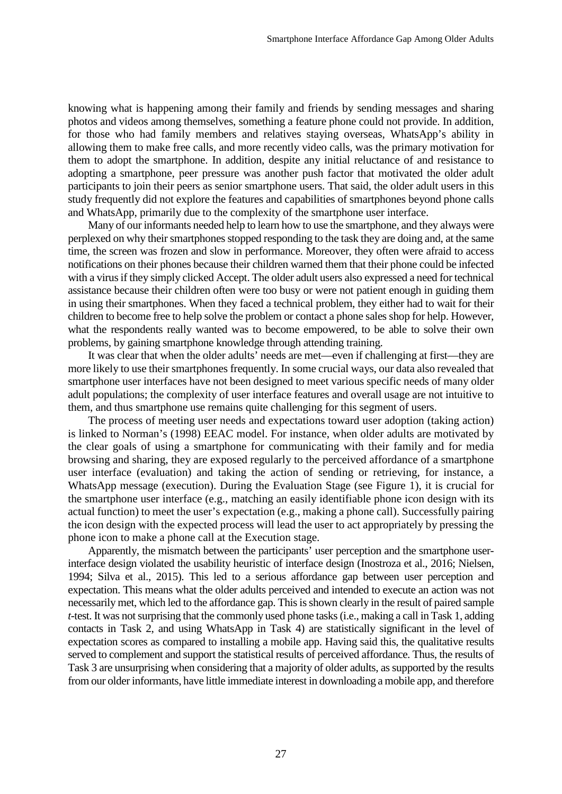knowing what is happening among their family and friends by sending messages and sharing photos and videos among themselves, something a feature phone could not provide. In addition, for those who had family members and relatives staying overseas, WhatsApp's ability in allowing them to make free calls, and more recently video calls, was the primary motivation for them to adopt the smartphone. In addition, despite any initial reluctance of and resistance to adopting a smartphone, peer pressure was another push factor that motivated the older adult participants to join their peers as senior smartphone users. That said, the older adult users in this study frequently did not explore the features and capabilities of smartphones beyond phone calls and WhatsApp, primarily due to the complexity of the smartphone user interface.

Many of our informants needed help to learn how to use the smartphone, and they always were perplexed on why their smartphones stopped responding to the task they are doing and, at the same time, the screen was frozen and slow in performance. Moreover, they often were afraid to access notifications on their phones because their children warned them that their phone could be infected with a virus if they simply clicked Accept. The older adult users also expressed a need for technical assistance because their children often were too busy or were not patient enough in guiding them in using their smartphones. When they faced a technical problem, they either had to wait for their children to become free to help solve the problem or contact a phone sales shop for help. However, what the respondents really wanted was to become empowered, to be able to solve their own problems, by gaining smartphone knowledge through attending training.

It was clear that when the older adults' needs are met—even if challenging at first—they are more likely to use their smartphones frequently. In some crucial ways, our data also revealed that smartphone user interfaces have not been designed to meet various specific needs of many older adult populations; the complexity of user interface features and overall usage are not intuitive to them, and thus smartphone use remains quite challenging for this segment of users.

The process of meeting user needs and expectations toward user adoption (taking action) is linked to Norman's (1998) EEAC model. For instance, when older adults are motivated by the clear goals of using a smartphone for communicating with their family and for media browsing and sharing, they are exposed regularly to the perceived affordance of a smartphone user interface (evaluation) and taking the action of sending or retrieving, for instance, a WhatsApp message (execution). During the Evaluation Stage (see Figure 1), it is crucial for the smartphone user interface (e.g., matching an easily identifiable phone icon design with its actual function) to meet the user's expectation (e.g., making a phone call). Successfully pairing the icon design with the expected process will lead the user to act appropriately by pressing the phone icon to make a phone call at the Execution stage.

Apparently, the mismatch between the participants' user perception and the smartphone userinterface design violated the usability heuristic of interface design (Inostroza et al., 2016; Nielsen, 1994; Silva et al., 2015). This led to a serious affordance gap between user perception and expectation. This means what the older adults perceived and intended to execute an action was not necessarily met, which led to the affordance gap. This is shown clearly in the result of paired sample *t*-test. It was not surprising that the commonly used phone tasks (i.e., making a call in Task 1, adding contacts in Task 2, and using WhatsApp in Task 4) are statistically significant in the level of expectation scores as compared to installing a mobile app. Having said this, the qualitative results served to complement and support the statistical results of perceived affordance. Thus, the results of Task 3 are unsurprising when considering that a majority of older adults, as supported by the results from our older informants, have little immediate interest in downloading a mobile app, and therefore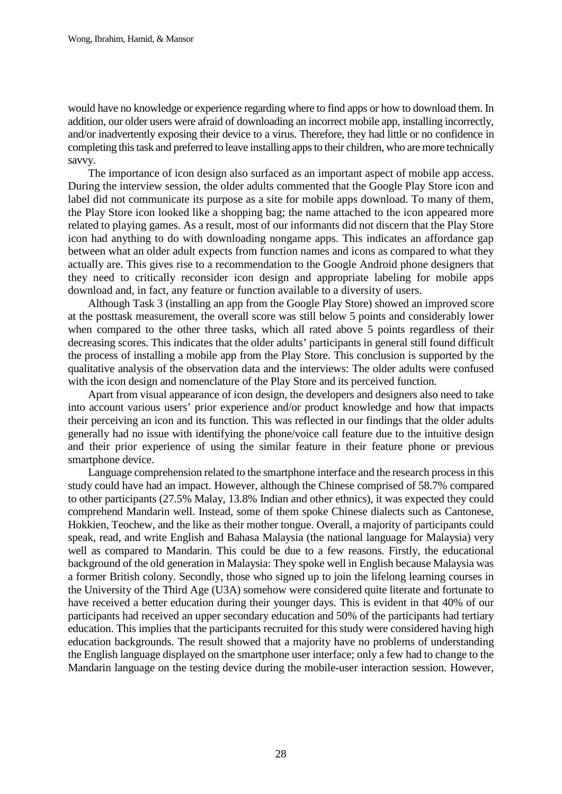would have no knowledge or experience regarding where to find apps or how to download them. In addition, our older users were afraid of downloading an incorrect mobile app, installing incorrectly, and/or inadvertently exposing their device to a virus. Therefore, they had little or no confidence in completing this task and preferred to leave installing apps to their children, who are more technically savvy.

The importance of icon design also surfaced as an important aspect of mobile app access. During the interview session, the older adults commented that the Google Play Store icon and label did not communicate its purpose as a site for mobile apps download. To many of them, the Play Store icon looked like a shopping bag; the name attached to the icon appeared more related to playing games. As a result, most of our informants did not discern that the Play Store icon had anything to do with downloading nongame apps. This indicates an affordance gap between what an older adult expects from function names and icons as compared to what they actually are. This gives rise to a recommendation to the Google Android phone designers that they need to critically reconsider icon design and appropriate labeling for mobile apps download and, in fact, any feature or function available to a diversity of users.

Although Task 3 (installing an app from the Google Play Store) showed an improved score at the posttask measurement, the overall score was still below 5 points and considerably lower when compared to the other three tasks, which all rated above 5 points regardless of their decreasing scores. This indicates that the older adults' participants in general still found difficult the process of installing a mobile app from the Play Store. This conclusion is supported by the qualitative analysis of the observation data and the interviews: The older adults were confused with the icon design and nomenclature of the Play Store and its perceived function.

Apart from visual appearance of icon design, the developers and designers also need to take into account various users' prior experience and/or product knowledge and how that impacts their perceiving an icon and its function. This was reflected in our findings that the older adults generally had no issue with identifying the phone/voice call feature due to the intuitive design and their prior experience of using the similar feature in their feature phone or previous smartphone device.

Language comprehension related to the smartphone interface and the research process in this study could have had an impact. However, although the Chinese comprised of 58.7% compared to other participants (27.5% Malay, 13.8% Indian and other ethnics), it was expected they could comprehend Mandarin well. Instead, some of them spoke Chinese dialects such as Cantonese, Hokkien, Teochew, and the like as their mother tongue. Overall, a majority of participants could speak, read, and write English and Bahasa Malaysia (the national language for Malaysia) very well as compared to Mandarin. This could be due to a few reasons. Firstly, the educational background of the old generation in Malaysia: They spoke well in English because Malaysia was a former British colony. Secondly, those who signed up to join the lifelong learning courses in the University of the Third Age (U3A) somehow were considered quite literate and fortunate to have received a better education during their younger days. This is evident in that 40% of our participants had received an upper secondary education and 50% of the participants had tertiary education. This implies that the participants recruited for this study were considered having high education backgrounds. The result showed that a majority have no problems of understanding the English language displayed on the smartphone user interface; only a few had to change to the Mandarin language on the testing device during the mobile-user interaction session. However,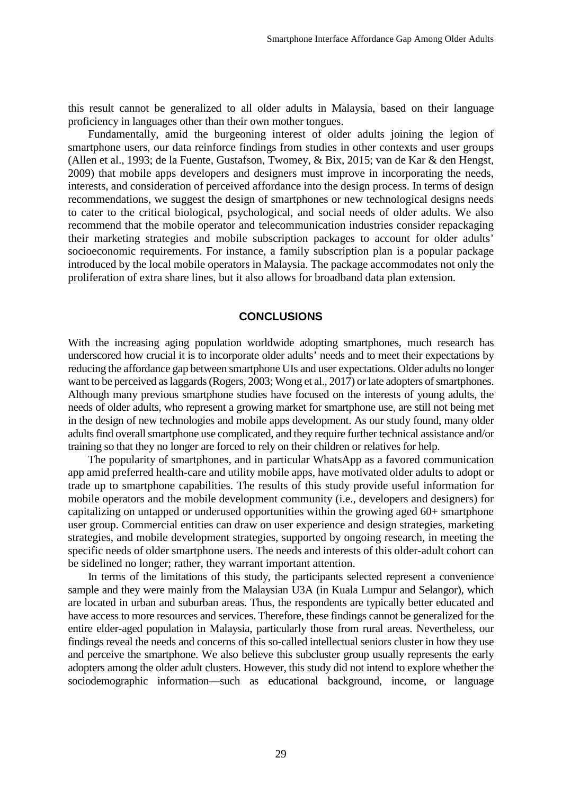this result cannot be generalized to all older adults in Malaysia, based on their language proficiency in languages other than their own mother tongues.

Fundamentally, amid the burgeoning interest of older adults joining the legion of smartphone users, our data reinforce findings from studies in other contexts and user groups (Allen et al., 1993; de la Fuente, Gustafson, Twomey, & Bix, 2015; van de Kar & den Hengst, 2009) that mobile apps developers and designers must improve in incorporating the needs, interests, and consideration of perceived affordance into the design process. In terms of design recommendations, we suggest the design of smartphones or new technological designs needs to cater to the critical biological, psychological, and social needs of older adults. We also recommend that the mobile operator and telecommunication industries consider repackaging their marketing strategies and mobile subscription packages to account for older adults' socioeconomic requirements. For instance, a family subscription plan is a popular package introduced by the local mobile operators in Malaysia. The package accommodates not only the proliferation of extra share lines, but it also allows for broadband data plan extension.

## **CONCLUSIONS**

With the increasing aging population worldwide adopting smartphones, much research has underscored how crucial it is to incorporate older adults' needs and to meet their expectations by reducing the affordance gap between smartphone UIs and user expectations. Older adults no longer want to be perceived as laggards (Rogers, 2003; Wong et al., 2017) or late adopters of smartphones. Although many previous smartphone studies have focused on the interests of young adults, the needs of older adults, who represent a growing market for smartphone use, are still not being met in the design of new technologies and mobile apps development. As our study found, many older adults find overall smartphone use complicated, and they require further technical assistance and/or training so that they no longer are forced to rely on their children or relatives for help.

The popularity of smartphones, and in particular WhatsApp as a favored communication app amid preferred health-care and utility mobile apps, have motivated older adults to adopt or trade up to smartphone capabilities. The results of this study provide useful information for mobile operators and the mobile development community (i.e., developers and designers) for capitalizing on untapped or underused opportunities within the growing aged 60+ smartphone user group. Commercial entities can draw on user experience and design strategies, marketing strategies, and mobile development strategies, supported by ongoing research, in meeting the specific needs of older smartphone users. The needs and interests of this older-adult cohort can be sidelined no longer; rather, they warrant important attention.

In terms of the limitations of this study, the participants selected represent a convenience sample and they were mainly from the Malaysian U3A (in Kuala Lumpur and Selangor), which are located in urban and suburban areas. Thus, the respondents are typically better educated and have access to more resources and services. Therefore, these findings cannot be generalized for the entire elder-aged population in Malaysia, particularly those from rural areas. Nevertheless, our findings reveal the needs and concerns of this so-called intellectual seniors cluster in how they use and perceive the smartphone. We also believe this subcluster group usually represents the early adopters among the older adult clusters. However, this study did not intend to explore whether the sociodemographic information—such as educational background, income, or language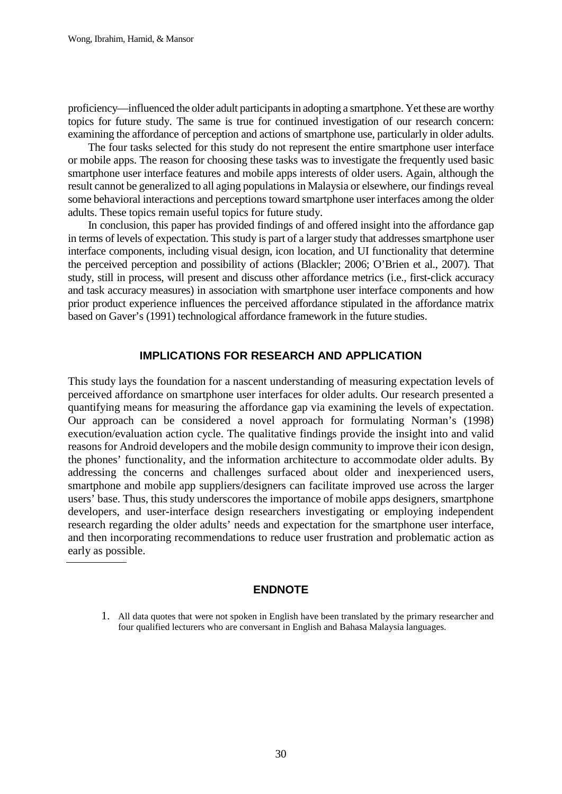proficiency—influenced the older adult participants in adopting a smartphone. Yet these are worthy topics for future study. The same is true for continued investigation of our research concern: examining the affordance of perception and actions of smartphone use, particularly in older adults.

The four tasks selected for this study do not represent the entire smartphone user interface or mobile apps. The reason for choosing these tasks was to investigate the frequently used basic smartphone user interface features and mobile apps interests of older users. Again, although the result cannot be generalized to all aging populations in Malaysia or elsewhere, our findings reveal some behavioral interactions and perceptions toward smartphone user interfaces among the older adults. These topics remain useful topics for future study.

In conclusion, this paper has provided findings of and offered insight into the affordance gap in terms of levels of expectation. This study is part of a larger study that addresses smartphone user interface components, including visual design, icon location, and UI functionality that determine the perceived perception and possibility of actions (Blackler; 2006; O'Brien et al., 2007). That study, still in process, will present and discuss other affordance metrics (i.e., first-click accuracy and task accuracy measures) in association with smartphone user interface components and how prior product experience influences the perceived affordance stipulated in the affordance matrix based on Gaver's (1991) technological affordance framework in the future studies.

## **IMPLICATIONS FOR RESEARCH AND APPLICATION**

This study lays the foundation for a nascent understanding of measuring expectation levels of perceived affordance on smartphone user interfaces for older adults. Our research presented a quantifying means for measuring the affordance gap via examining the levels of expectation. Our approach can be considered a novel approach for formulating Norman's (1998) execution/evaluation action cycle. The qualitative findings provide the insight into and valid reasons for Android developers and the mobile design community to improve their icon design, the phones' functionality, and the information architecture to accommodate older adults. By addressing the concerns and challenges surfaced about older and inexperienced users, smartphone and mobile app suppliers/designers can facilitate improved use across the larger users' base. Thus, this study underscores the importance of mobile apps designers, smartphone developers, and user-interface design researchers investigating or employing independent research regarding the older adults' needs and expectation for the smartphone user interface, and then incorporating recommendations to reduce user frustration and problematic action as early as possible.

## **ENDNOTE**

<sup>1.</sup> All data quotes that were not spoken in English have been translated by the primary researcher and four qualified lecturers who are conversant in English and Bahasa Malaysia languages.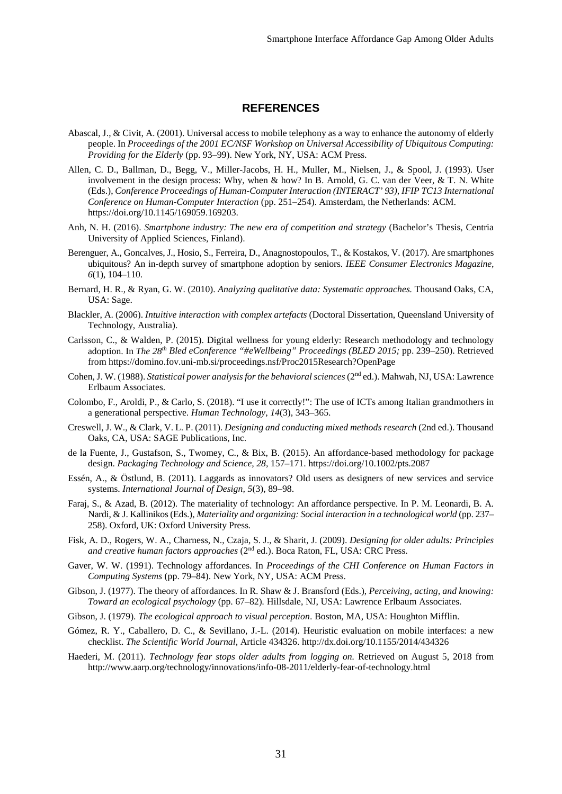### **REFERENCES**

- Abascal, J., & Civit, A. (2001). Universal access to mobile telephony as a way to enhance the autonomy of elderly people. In *Proceedings of the 2001 EC/NSF Workshop on Universal Accessibility of Ubiquitous Computing: Providing for the Elderly* (pp. 93–99). New York, NY, USA: ACM Press.
- Allen, C. D., Ballman, D., Begg, V., Miller-Jacobs, H. H., Muller, M., Nielsen, J., & Spool, J. (1993). User involvement in the design process: Why, when & how? In B. Arnold, G. C. van der Veer, & T. N. White (Eds.), *Conference Proceedings of Human-Computer Interaction (INTERACT' 93), IFIP TC13 International Conference on Human-Computer Interaction* (pp. 251–254). Amsterdam, the Netherlands: ACM. https://doi.org/10.1145/169059.169203.
- Anh, N. H. (2016). *Smartphone industry: The new era of competition and strategy* (Bachelor's Thesis, Centria University of Applied Sciences, Finland).
- Berenguer, A., Goncalves, J., Hosio, S., Ferreira, D., Anagnostopoulos, T., & Kostakos, V. (2017). Are smartphones ubiquitous? An in-depth survey of smartphone adoption by seniors. *IEEE Consumer Electronics Magazine, 6*(1), 104–110.
- Bernard, H. R., & Ryan, G. W. (2010). *Analyzing qualitative data: Systematic approaches.* Thousand Oaks, CA, USA: Sage.
- Blackler, A. (2006). *Intuitive interaction with complex artefacts* (Doctoral Dissertation, Queensland University of Technology, Australia).
- Carlsson, C., & Walden, P. (2015). Digital wellness for young elderly: Research methodology and technology adoption. In *The 28th Bled eConference "#eWellbeing" Proceedings (BLED 2015;* pp. 239–250). Retrieved from https://domino.fov.uni-mb.si/proceedings.nsf/Proc2015Research?OpenPage
- Cohen, J. W. (1988). *Statistical power analysis for the behavioral sciences* (2<sup>nd</sup> ed.). Mahwah, NJ, USA: Lawrence Erlbaum Associates.
- Colombo, F., Aroldi, P., & Carlo, S. (2018). "I use it correctly!": The use of ICTs among Italian grandmothers in a generational perspective. *Human Technology*, *14*(3), 343–365.
- Creswell, J. W., & Clark, V. L. P. (2011). *Designing and conducting mixed methods research* (2nd ed.). Thousand Oaks, CA, USA: SAGE Publications, Inc.
- de la Fuente, J., Gustafson, S., Twomey, C., & Bix, B. (2015). An affordance-based methodology for package design. *Packaging Technology and Science, 28,* 157–171. https://doi.org/10.1002/pts.2087
- Essén, A., & Östlund, B. (2011). Laggards as innovators? Old users as designers of new services and service systems. *International Journal of Design, 5*(3), 89–98.
- Faraj, S., & Azad, B. (2012). The materiality of technology: An affordance perspective. In P. M. Leonardi, B. A. Nardi, & J. Kallinikos (Eds.), *Materiality and organizing: Social interaction in a technological world* (pp. 237– 258). Oxford, UK: Oxford University Press.
- Fisk, A. D., Rogers, W. A., Charness, N., Czaja, S. J., & Sharit, J. (2009). *Designing for older adults: Principles and creative human factors approaches* (2nd ed.). Boca Raton, FL, USA: CRC Press.
- Gaver, W. W. (1991). Technology affordances. In *Proceedings of the CHI Conference on Human Factors in Computing Systems* (pp. 79–84). New York, NY, USA: ACM Press.
- Gibson, J. (1977). The theory of affordances. In R. Shaw & J. Bransford (Eds.), *Perceiving, acting, and knowing: Toward an ecological psychology* (pp. 67–82)*.* Hillsdale, NJ, USA: Lawrence Erlbaum Associates.
- Gibson, J. (1979). *The ecological approach to visual perception*. Boston, MA, USA: Houghton Mifflin.
- Gómez, R. Y., Caballero, D. C., & Sevillano, J.-L. (2014). Heuristic evaluation on mobile interfaces: a new checklist. *The Scientific World Journal*, Article 434326. http://dx.doi.org/10.1155/2014/434326
- Haederi, M. (2011). *Technology fear stops older adults from logging on.* Retrieved on August 5, 2018 from http://www.aarp.org/technology/innovations/info-08-2011/elderly-fear-of-technology.html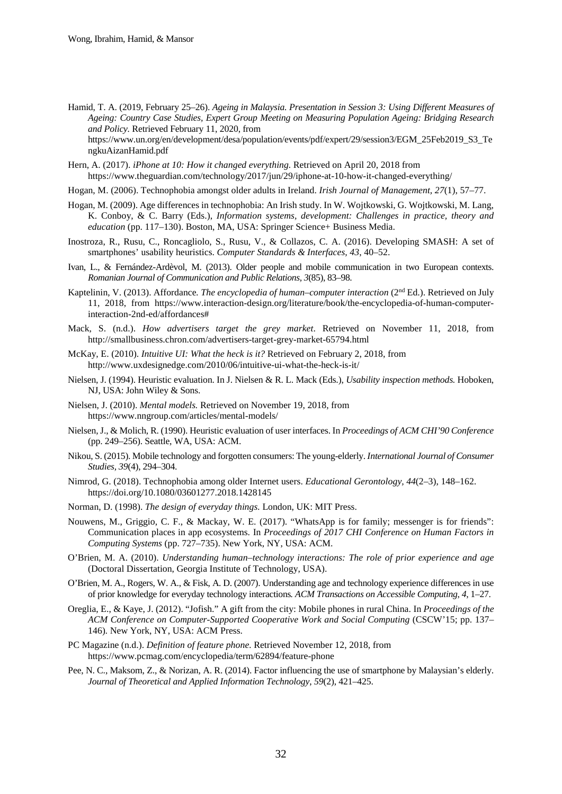Hamid, T. A. (2019, February 25–26). *Ageing in Malaysia. Presentation in Session 3: Using Different Measures of Ageing: Country Case Studies, Expert Group Meeting on Measuring Population Ageing: Bridging Research and Policy.* Retrieved February 11, 2020, from

https://www.un.org/en/development/desa/population/events/pdf/expert/29/session3/EGM\_25Feb2019\_S3\_Te ngkuAizanHamid.pdf

- Hern, A. (2017). *iPhone at 10: How it changed everything.* Retrieved on April 20, 2018 from https://www.theguardian.com/technology/2017/jun/29/iphone-at-10-how-it-changed-everything/
- Hogan, M. (2006). Technophobia amongst older adults in Ireland. *Irish Journal of Management, 27*(1), 57–77.
- Hogan, M. (2009). Age differences in technophobia: An Irish study. In W. Wojtkowski, G. Wojtkowski, M. Lang, K. Conboy, & C. Barry (Eds.), *Information systems, development: Challenges in practice, theory and education* (pp. 117–130). Boston, MA, USA: Springer Science+ Business Media.
- Inostroza, R., Rusu, C., Roncagliolo, S., Rusu, V., & Collazos, C. A. (2016). Developing SMASH: A set of smartphones' usability heuristics. *Computer Standards & Interfaces, 43*, 40–52.
- Ivan, L., & Fernández-Ardèvol, M. (2013). Older people and mobile communication in two European contexts. *Romanian Journal of Communication and Public Relations, 3*(85), 83–98.
- Kaptelinin, V. (2013). Affordance*. The encyclopedia of human*–*computer interaction* (2nd Ed.). Retrieved on July 11, 2018, from https://www.interaction-design.org/literature/book/the-encyclopedia-of-human-computerinteraction-2nd-ed/affordances#
- Mack, S. (n.d.). *How advertisers target the grey market*. Retrieved on November 11, 2018, from http://smallbusiness.chron.com/advertisers-target-grey-market-65794.html
- McKay, E. (2010). *Intuitive UI: What the heck is it?* Retrieved on February 2, 2018, from http://www.uxdesignedge.com/2010/06/intuitive-ui-what-the-heck-is-it/
- Nielsen, J. (1994). Heuristic evaluation. In J. Nielsen & R. L. Mack (Eds.), *Usability inspection methods.* Hoboken, NJ, USA: John Wiley & Sons.
- Nielsen, J. (2010). *Mental models.* Retrieved on November 19, 2018, from https://www.nngroup.com/articles/mental-models/
- Nielsen, J., & Molich, R. (1990). Heuristic evaluation of user interfaces. In *Proceedings of ACM CHI'90 Conference* (pp. 249–256). Seattle, WA, USA: ACM.
- Nikou, S. (2015). Mobile technology and forgotten consumers: The young-elderly. *International Journal of Consumer Studies, 39*(4), 294–304.
- Nimrod, G. (2018). Technophobia among older Internet users. *Educational Gerontology, 44*(2–3), 148–162. https://doi.org/10.1080/03601277.2018.1428145
- Norman, D. (1998). *The design of everyday things.* London, UK: MIT Press.
- Nouwens, M., Griggio, C. F., & Mackay, W. E. (2017). "WhatsApp is for family; messenger is for friends": Communication places in app ecosystems. In *Proceedings of 2017 CHI Conference on Human Factors in Computing Systems* (pp. 727–735). New York, NY, USA: ACM.
- O'Brien, M. A. (2010). *Understanding human*–*technology interactions: The role of prior experience and age*  (Doctoral Dissertation, Georgia Institute of Technology, USA).
- O'Brien, M. A., Rogers, W. A., & Fisk, A. D. (2007). Understanding age and technology experience differences in use of prior knowledge for everyday technology interactions*. ACM Transactions on Accessible Computing*, *4*, 1–27.
- Oreglia, E., & Kaye, J. (2012). "Jofish." A gift from the city: Mobile phones in rural China. In *Proceedings of the ACM Conference on Computer-Supported Cooperative Work and Social Computing* (CSCW'15; pp. 137– 146)*.* New York, NY, USA: ACM Press.
- PC Magazine (n.d.). *Definition of feature phone.* Retrieved November 12, 2018, from https://www.pcmag.com/encyclopedia/term/62894/feature-phone
- Pee, N. C., Maksom, Z., & Norizan, A. R. (2014). Factor influencing the use of smartphone by Malaysian's elderly. *Journal of Theoretical and Applied Information Technology*, *59*(2), 421–425.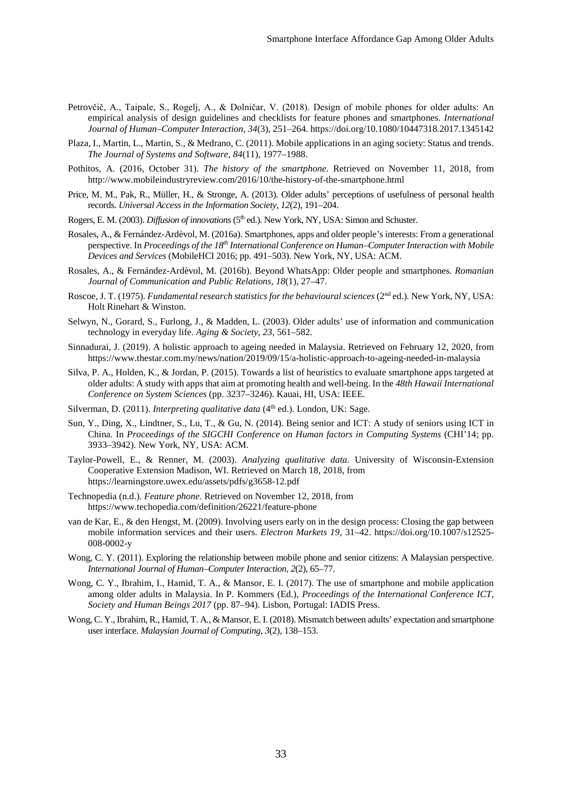- Petrovčič, A., Taipale, S., Rogelj, A., & Dolničar, V. (2018). Design of mobile phones for older adults: An empirical analysis of design guidelines and checklists for feature phones and smartphones. *International Journal of Human–Computer Interaction*, *34*(3), 251–264. https://doi.org/10.1080/10447318.2017.1345142
- Plaza, I., Martin, L., Martin, S., & Medrano, C. (2011). Mobile applications in an aging society: Status and trends. *The Journal of Systems and Software, 84*(11), 1977–1988.
- Pothitos, A. (2016, October 31). *The history of the smartphone*. Retrieved on November 11, 2018, from http://www.mobileindustryreview.com/2016/10/the-history-of-the-smartphone.html
- Price, M. M., Pak, R., Müller, H., & Stronge, A. (2013). Older adults' perceptions of usefulness of personal health records. *Universal Access in the Information Society*, *12*(2), 191–204.
- Rogers, E. M. (2003). *Diffusion of innovations* (5th ed.). New York, NY, USA: Simon and Schuster.
- Rosales, A., & Fernández-Ardèvol, M. (2016a). Smartphones, apps and older people's interests: From a generational perspective. In *Proceedings of the 18th International Conference on Human*–*Computer Interaction with Mobile Devices and Services* (MobileHCI 2016; pp. 491–503). New York, NY, USA: ACM.
- Rosales, A., & Fernández-Ardèvol, M. (2016b). Beyond WhatsApp: Older people and smartphones. *Romanian Journal of Communication and Public Relations, 18*(1), 27–47.
- Roscoe, J. T. (1975). *Fundamental research statistics for the behavioural sciences* (2<sup>nd</sup> ed.). New York, NY, USA: Holt Rinehart & Winston.
- Selwyn, N., Gorard, S., Furlong, J., & Madden, L. (2003). Older adults' use of information and communication technology in everyday life. *Aging & Society, 23*, 561–582.
- Sinnadurai, J. (2019). A holistic approach to ageing needed in Malaysia. Retrieved on February 12, 2020, from https://www.thestar.com.my/news/nation/2019/09/15/a-holistic-approach-to-ageing-needed-in-malaysia
- Silva, P. A., Holden, K., & Jordan, P. (2015). Towards a list of heuristics to evaluate smartphone apps targeted at older adults: A study with apps that aim at promoting health and well-being. In the *48th Hawaii International Conference on System Sciences* (pp. 3237–3246). Kauai, HI, USA: IEEE.
- Silverman, D. (2011). *Interpreting qualitative data* (4<sup>th</sup> ed.). London, UK: Sage.
- Sun, Y., Ding, X., Lindtner, S., Lu, T., & Gu, N. (2014). Being senior and ICT: A study of seniors using ICT in China. In *Proceedings of the SIGCHI Conference on Human factors in Computing Systems* (CHI'14; pp. 3933–3942). New York, NY, USA: ACM.
- Taylor-Powell, E., & Renner, M. (2003). *Analyzing qualitative data.* University of Wisconsin-Extension Cooperative Extension Madison, WI. Retrieved on March 18, 2018, from https://learningstore.uwex.edu/assets/pdfs/g3658-12.pdf
- Technopedia (n.d.). *Feature phone.* Retrieved on November 12, 2018, from https://www.techopedia.com/definition/26221/feature-phone
- van de Kar, E., & den Hengst, M. (2009). Involving users early on in the design process: Closing the gap between mobile information services and their users. *Electron Markets 19*, 31–42. https://doi.org/10.1007/s12525- 008-0002-y
- Wong, C. Y. (2011). Exploring the relationship between mobile phone and senior citizens: A Malaysian perspective. *International Journal of Human*–*Computer Interaction, 2*(2), 65–77.
- Wong, C. Y., Ibrahim, I., Hamid, T. A., & Mansor, E. I. (2017). The use of smartphone and mobile application among older adults in Malaysia. In P. Kommers (Ed.), *Proceedings of the International Conference ICT, Society and Human Beings 2017* (pp. 87–94). Lisbon, Portugal: IADIS Press.
- Wong, C. Y., Ibrahim, R., Hamid, T. A., & Mansor, E. I. (2018). Mismatch between adults' expectation and smartphone user interface. *Malaysian Journal of Computing*, *3*(2), 138–153.